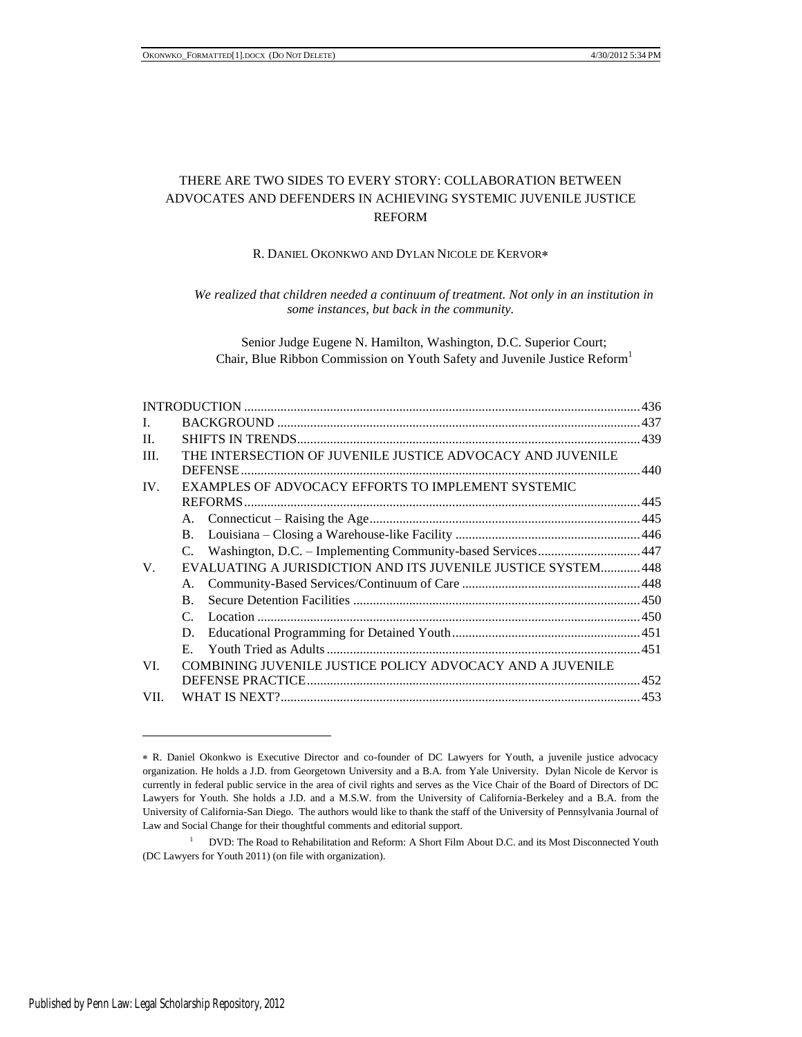# THERE ARE TWO SIDES TO EVERY STORY: COLLABORATION BETWEEN ADVOCATES AND DEFENDERS IN ACHIEVING SYSTEMIC JUVENILE JUSTICE REFORM

# R. DANIEL OKONKWO AND DYLAN NICOLE DE KERVOR

*We realized that children needed a continuum of treatment. Not only in an institution in some instances, but back in the community.*

Senior Judge Eugene N. Hamilton, Washington, D.C. Superior Court; Chair, Blue Ribbon Commission on Youth Safety and Juvenile Justice Reform<sup>1</sup>

| L         |                                                               |                                                                 |  |  |
|-----------|---------------------------------------------------------------|-----------------------------------------------------------------|--|--|
| $\Pi$ .   |                                                               |                                                                 |  |  |
| III.      | THE INTERSECTION OF JUVENILE JUSTICE ADVOCACY AND JUVENILE    |                                                                 |  |  |
| IV.<br>V. | EXAMPLES OF ADVOCACY EFFORTS TO IMPLEMENT SYSTEMIC            |                                                                 |  |  |
|           |                                                               |                                                                 |  |  |
|           |                                                               |                                                                 |  |  |
|           |                                                               |                                                                 |  |  |
|           |                                                               | C. Washington, D.C. - Implementing Community-based Services 447 |  |  |
|           | EVALUATING A JURISDICTION AND ITS JUVENILE JUSTICE SYSTEM 448 |                                                                 |  |  |
|           | A.                                                            |                                                                 |  |  |
|           | $\mathbf{B}$ .                                                |                                                                 |  |  |
|           | $\mathcal{C}$                                                 |                                                                 |  |  |
|           | D.                                                            |                                                                 |  |  |
|           | Е.                                                            |                                                                 |  |  |
| VI.       |                                                               | COMBINING JUVENILE JUSTICE POLICY ADVOCACY AND A JUVENILE       |  |  |
|           |                                                               |                                                                 |  |  |
| VII.      |                                                               |                                                                 |  |  |
|           |                                                               |                                                                 |  |  |

R. Daniel Okonkwo is Executive Director and co-founder of DC Lawyers for Youth, a juvenile justice advocacy organization. He holds a J.D. from Georgetown University and a B.A. from Yale University. Dylan Nicole de Kervor is currently in federal public service in the area of civil rights and serves as the Vice Chair of the Board of Directors of DC Lawyers for Youth. She holds a J.D. and a M.S.W. from the University of California-Berkeley and a B.A. from the University of California-San Diego. The authors would like to thank the staff of the University of Pennsylvania Journal of Law and Social Change for their thoughtful comments and editorial support.

<sup>&</sup>lt;sup>1</sup> DVD: The Road to Rehabilitation and Reform: A Short Film About D.C. and its Most Disconnected Youth (DC Lawyers for Youth 2011) (on file with organization).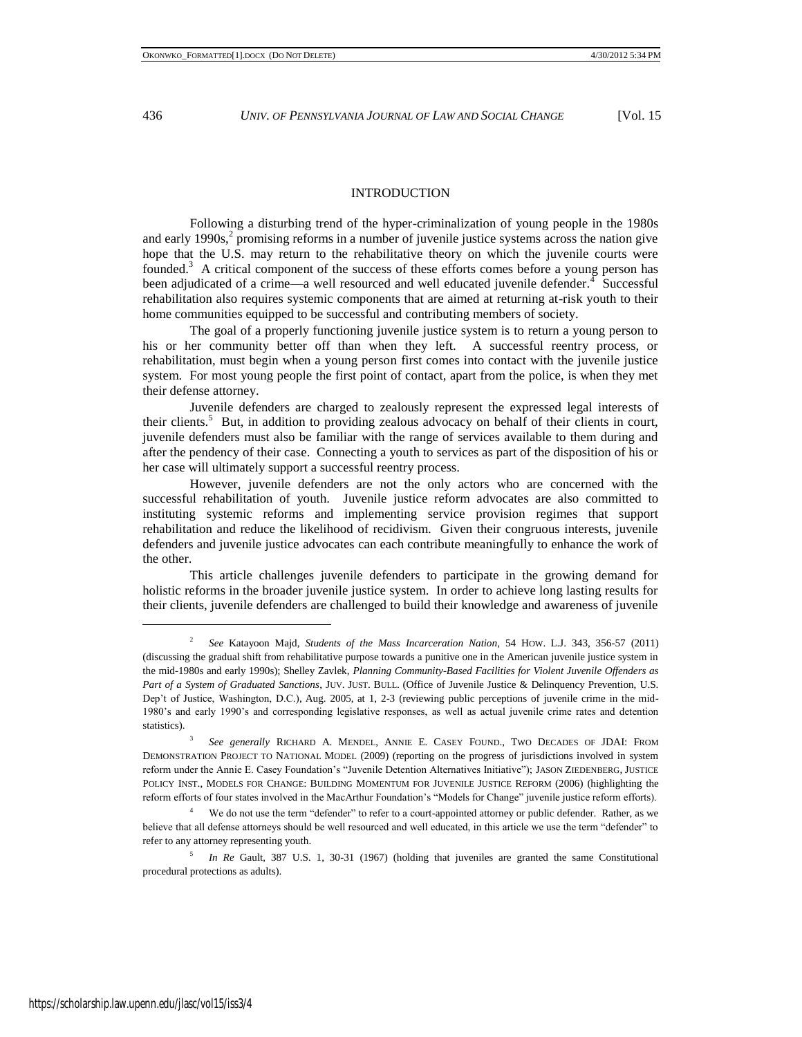### INTRODUCTION

Following a disturbing trend of the hyper-criminalization of young people in the 1980s and early 1990s, $2$  promising reforms in a number of juvenile justice systems across the nation give hope that the U.S. may return to the rehabilitative theory on which the juvenile courts were founded.<sup>3</sup> A critical component of the success of these efforts comes before a young person has been adjudicated of a crime—a well resourced and well educated juvenile defender.  $\frac{1}{4}$  Successful rehabilitation also requires systemic components that are aimed at returning at-risk youth to their home communities equipped to be successful and contributing members of society.

The goal of a properly functioning juvenile justice system is to return a young person to his or her community better off than when they left. A successful reentry process, or rehabilitation, must begin when a young person first comes into contact with the juvenile justice system. For most young people the first point of contact, apart from the police, is when they met their defense attorney.

Juvenile defenders are charged to zealously represent the expressed legal interests of their clients.<sup>5</sup> But, in addition to providing zealous advocacy on behalf of their clients in court, juvenile defenders must also be familiar with the range of services available to them during and after the pendency of their case. Connecting a youth to services as part of the disposition of his or her case will ultimately support a successful reentry process.

However, juvenile defenders are not the only actors who are concerned with the successful rehabilitation of youth. Juvenile justice reform advocates are also committed to instituting systemic reforms and implementing service provision regimes that support rehabilitation and reduce the likelihood of recidivism. Given their congruous interests, juvenile defenders and juvenile justice advocates can each contribute meaningfully to enhance the work of the other.

This article challenges juvenile defenders to participate in the growing demand for holistic reforms in the broader juvenile justice system. In order to achieve long lasting results for their clients, juvenile defenders are challenged to build their knowledge and awareness of juvenile

<sup>2</sup> *See* Katayoon Majd, *Students of the Mass Incarceration Nation*, 54 HOW. L.J. 343, 356-57 (2011) (discussing the gradual shift from rehabilitative purpose towards a punitive one in the American juvenile justice system in the mid-1980s and early 1990s); Shelley Zavlek, *Planning Community-Based Facilities for Violent Juvenile Offenders as Part of a System of Graduated Sanctions*, JUV. JUST. BULL. (Office of Juvenile Justice & Delinquency Prevention, U.S. Dep't of Justice, Washington, D.C.), Aug. 2005, at 1, 2-3 (reviewing public perceptions of juvenile crime in the mid-1980's and early 1990's and corresponding legislative responses, as well as actual juvenile crime rates and detention statistics).

<sup>3</sup> *See generally* RICHARD A. MENDEL, ANNIE E. CASEY FOUND., TWO DECADES OF JDAI: FROM DEMONSTRATION PROJECT TO NATIONAL MODEL (2009) (reporting on the progress of jurisdictions involved in system reform under the Annie E. Casey Foundation's "Juvenile Detention Alternatives Initiative"); JASON ZIEDENBERG, JUSTICE POLICY INST., MODELS FOR CHANGE: BUILDING MOMENTUM FOR JUVENILE JUSTICE REFORM (2006) (highlighting the reform efforts of four states involved in the MacArthur Foundation's "Models for Change" juvenile justice reform efforts).

We do not use the term "defender" to refer to a court-appointed attorney or public defender. Rather, as we believe that all defense attorneys should be well resourced and well educated, in this article we use the term "defender" to refer to any attorney representing youth.

<sup>5</sup> *In Re* Gault, 387 U.S. 1, 30-31 (1967) (holding that juveniles are granted the same Constitutional procedural protections as adults).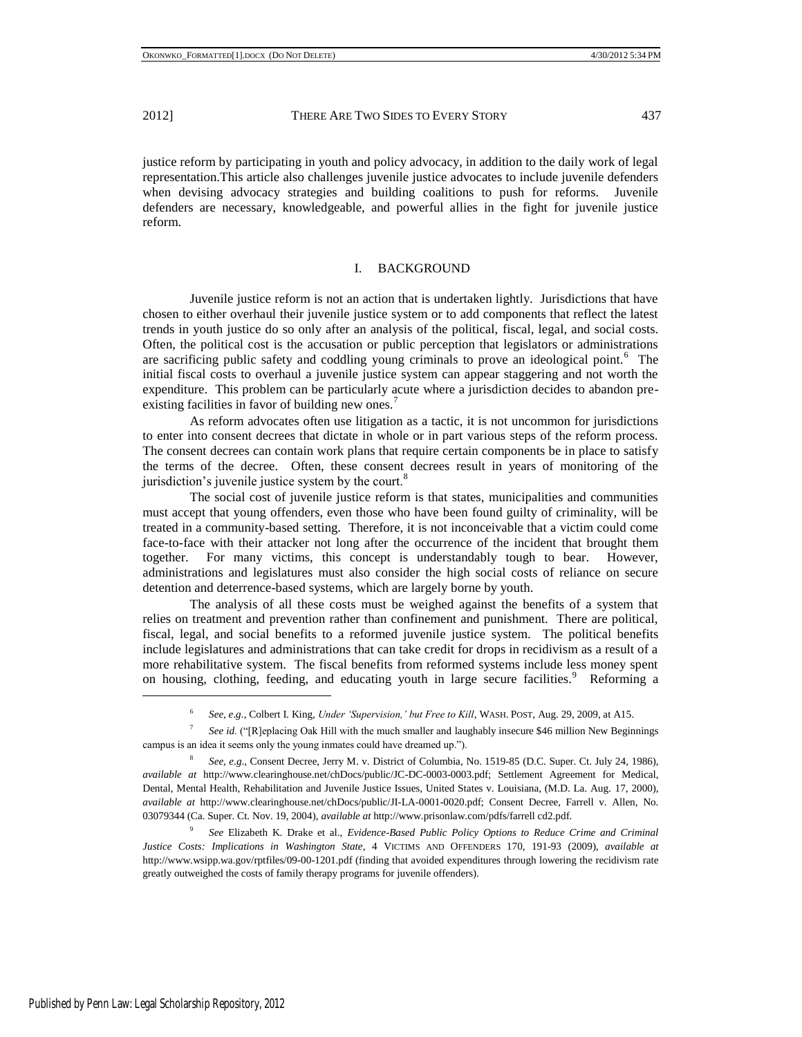justice reform by participating in youth and policy advocacy, in addition to the daily work of legal representation.This article also challenges juvenile justice advocates to include juvenile defenders when devising advocacy strategies and building coalitions to push for reforms. Juvenile defenders are necessary, knowledgeable, and powerful allies in the fight for juvenile justice reform.

### I. BACKGROUND

Juvenile justice reform is not an action that is undertaken lightly. Jurisdictions that have chosen to either overhaul their juvenile justice system or to add components that reflect the latest trends in youth justice do so only after an analysis of the political, fiscal, legal, and social costs. Often, the political cost is the accusation or public perception that legislators or administrations are sacrificing public safety and coddling young criminals to prove an ideological point.<sup>6</sup> The initial fiscal costs to overhaul a juvenile justice system can appear staggering and not worth the expenditure. This problem can be particularly acute where a jurisdiction decides to abandon preexisting facilities in favor of building new ones.<sup>7</sup>

As reform advocates often use litigation as a tactic, it is not uncommon for jurisdictions to enter into consent decrees that dictate in whole or in part various steps of the reform process. The consent decrees can contain work plans that require certain components be in place to satisfy the terms of the decree. Often, these consent decrees result in years of monitoring of the jurisdiction's juvenile justice system by the court. $8$ 

The social cost of juvenile justice reform is that states, municipalities and communities must accept that young offenders, even those who have been found guilty of criminality, will be treated in a community-based setting. Therefore, it is not inconceivable that a victim could come face-to-face with their attacker not long after the occurrence of the incident that brought them together. For many victims, this concept is understandably tough to bear. However, administrations and legislatures must also consider the high social costs of reliance on secure detention and deterrence-based systems, which are largely borne by youth.

The analysis of all these costs must be weighed against the benefits of a system that relies on treatment and prevention rather than confinement and punishment. There are political, fiscal, legal, and social benefits to a reformed juvenile justice system. The political benefits include legislatures and administrations that can take credit for drops in recidivism as a result of a more rehabilitative system. The fiscal benefits from reformed systems include less money spent on housing, clothing, feeding, and educating youth in large secure facilities.<sup>9</sup> Reforming a

<span id="page-2-0"></span><sup>6</sup> *See, e*.*g*.*,* Colbert I. King, *Under 'Supervision,' but Free to Kill*, WASH. POST, Aug. 29, 2009, at A15.

<sup>7</sup> *See id.* ("[R]eplacing Oak Hill with the much smaller and laughably insecure \$46 million New Beginnings campus is an idea it seems only the young inmates could have dreamed up.").

<sup>8</sup> *See, e*.*g*., Consent Decree, Jerry M. v. District of Columbia, No. 1519-85 (D.C. Super. Ct. July 24, 1986), *available at* http://www.clearinghouse.net/chDocs/public/JC-DC-0003-0003.pdf; Settlement Agreement for Medical, Dental, Mental Health, Rehabilitation and Juvenile Justice Issues, United States v. Louisiana, (M.D. La. Aug. 17, 2000), *available at* http://www.clearinghouse.net/chDocs/public/JI-LA-0001-0020.pdf; Consent Decree, Farrell v. Allen, No. 03079344 (Ca. Super. Ct. Nov. 19, 2004), *available at* http://www.prisonlaw.com/pdfs/farrell cd2.pdf.

<sup>9</sup> *See* Elizabeth K. Drake et al., *Evidence-Based Public Policy Options to Reduce Crime and Criminal Justice Costs: Implications in Washington State*, 4 VICTIMS AND OFFENDERS 170, 191-93 (2009), *available at* http://www.wsipp.wa.gov/rptfiles/09-00-1201.pdf (finding that avoided expenditures through lowering the recidivism rate greatly outweighed the costs of family therapy programs for juvenile offenders).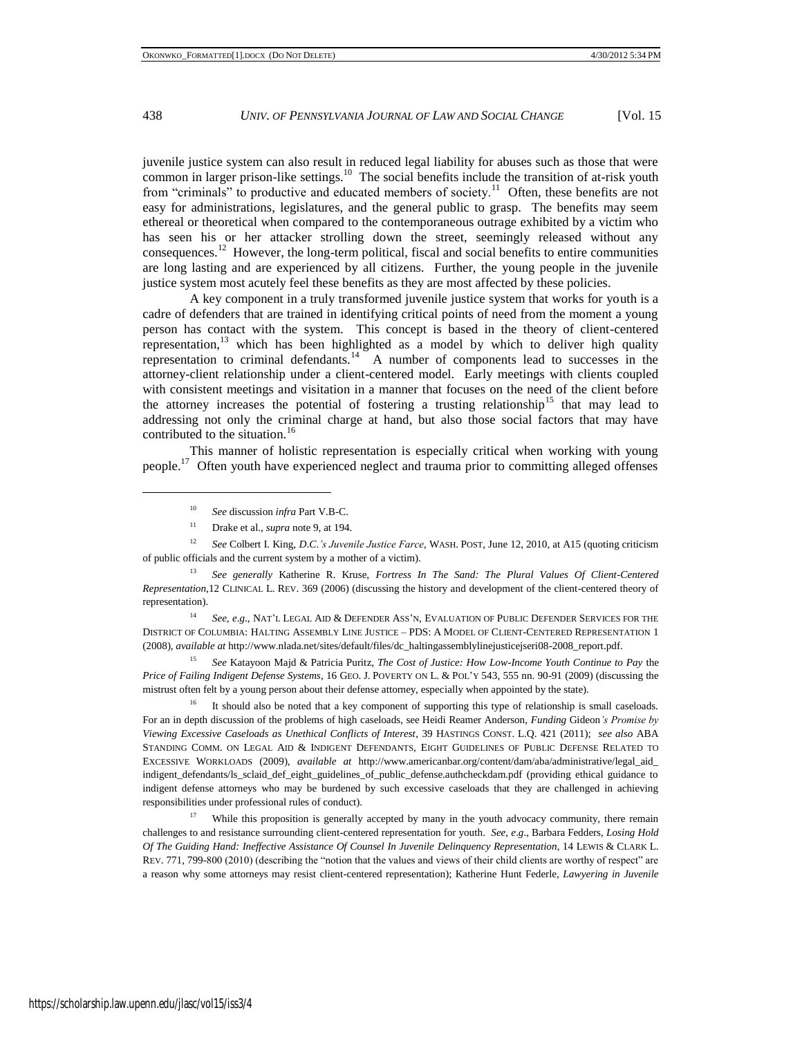juvenile justice system can also result in reduced legal liability for abuses such as those that were  $\epsilon$  common in larger prison-like settings.<sup>10</sup> The social benefits include the transition of at-risk youth from "criminals" to productive and educated members of society.<sup>11</sup> Often, these benefits are not easy for administrations, legislatures, and the general public to grasp. The benefits may seem ethereal or theoretical when compared to the contemporaneous outrage exhibited by a victim who has seen his or her attacker strolling down the street, seemingly released without any consequences.<sup>12</sup> However, the long-term political, fiscal and social benefits to entire communities are long lasting and are experienced by all citizens. Further, the young people in the juvenile justice system most acutely feel these benefits as they are most affected by these policies.

A key component in a truly transformed juvenile justice system that works for youth is a cadre of defenders that are trained in identifying critical points of need from the moment a young person has contact with the system. This concept is based in the theory of client-centered representation, $13$  which has been highlighted as a model by which to deliver high quality representation to criminal defendants.<sup>14</sup> A number of components lead to successes in the attorney-client relationship under a client-centered model. Early meetings with clients coupled with consistent meetings and visitation in a manner that focuses on the need of the client before the attorney increases the potential of fostering a trusting relationship<sup>15</sup> that may lead to addressing not only the criminal charge at hand, but also those social factors that may have contributed to the situation.<sup>16</sup>

This manner of holistic representation is especially critical when working with young people.<sup>17</sup> Often youth have experienced neglect and trauma prior to committing alleged offenses

<sup>12</sup> *See* Colbert I. King, *D*.*C*.*'s Juvenile Justice Farce*, WASH. POST, June 12, 2010, at A15 (quoting criticism of public officials and the current system by a mother of a victim).

<sup>13</sup> *See generally* Katherine R. Kruse, *Fortress In The Sand: The Plural Values Of Client-Centered Representation*,12 CLINICAL L. REV. 369 (2006) (discussing the history and development of the client-centered theory of representation).

<sup>14</sup> *See, e*.*g*., NAT'L LEGAL AID & DEFENDER ASS'N, EVALUATION OF PUBLIC DEFENDER SERVICES FOR THE DISTRICT OF COLUMBIA: HALTING ASSEMBLY LINE JUSTICE – PDS: A MODEL OF CLIENT-CENTERED REPRESENTATION 1 (2008), *available at* http://www.nlada.net/sites/default/files/dc\_haltingassemblylinejusticejseri08-2008\_report.pdf.

<sup>15</sup> *See* Katayoon Majd & Patricia Puritz, *The Cost of Justice: How Low-Income Youth Continue to Pay* the *Price of Failing Indigent Defense Systems*, 16 GEO. J. POVERTY ON L. & POL'Y 543, 555 nn. 90-91 (2009) (discussing the mistrust often felt by a young person about their defense attorney, especially when appointed by the state).

<sup>16</sup> It should also be noted that a key component of supporting this type of relationship is small caseloads. For an in depth discussion of the problems of high caseloads, see Heidi Reamer Anderson, *Funding* Gideon*'s Promise by Viewing Excessive Caseloads as Unethical Conflicts of Interest*, 39 HASTINGS CONST. L.Q. 421 (2011); *see also* ABA STANDING COMM. ON LEGAL AID & INDIGENT DEFENDANTS, EIGHT GUIDELINES OF PUBLIC DEFENSE RELATED TO EXCESSIVE WORKLOADS (2009), *available at* http://www.americanbar.org/content/dam/aba/administrative/legal\_aid\_ indigent\_defendants/ls\_sclaid\_def\_eight\_guidelines\_of\_public\_defense.authcheckdam.pdf (providing ethical guidance to indigent defense attorneys who may be burdened by such excessive caseloads that they are challenged in achieving responsibilities under professional rules of conduct).

<sup>17</sup> While this proposition is generally accepted by many in the youth advocacy community, there remain challenges to and resistance surrounding client-centered representation for youth. *See, e*.*g*., Barbara Fedders, *Losing Hold Of The Guiding Hand: Ineffective Assistance Of Counsel In Juvenile Delinquency Representation*, 14 LEWIS & CLARK L. REV. 771, 799-800 (2010) (describing the "notion that the values and views of their child clients are worthy of respect" are a reason why some attorneys may resist client-centered representation); Katherine Hunt Federle, *Lawyering in Juvenile* 

<sup>10</sup> *See* discussion *infra* Part V.B-C.

<sup>11</sup> Drake et al., *supra* not[e 9,](#page-2-0) at 194.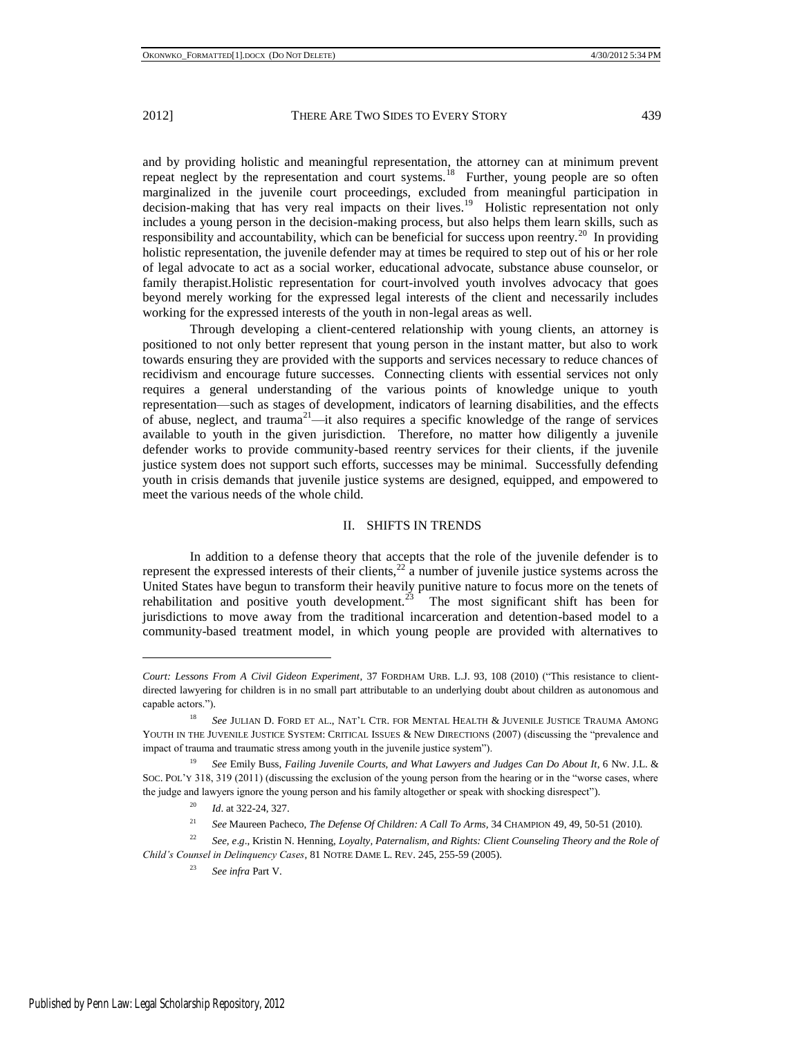and by providing holistic and meaningful representation, the attorney can at minimum prevent repeat neglect by the representation and court systems.<sup>18</sup> Further, young people are so often marginalized in the juvenile court proceedings, excluded from meaningful participation in decision-making that has very real impacts on their lives.<sup>19</sup> Holistic representation not only includes a young person in the decision-making process, but also helps them learn skills, such as responsibility and accountability, which can be beneficial for success upon reentry.<sup>20</sup> In providing holistic representation, the juvenile defender may at times be required to step out of his or her role of legal advocate to act as a social worker, educational advocate, substance abuse counselor, or family therapist.Holistic representation for court-involved youth involves advocacy that goes beyond merely working for the expressed legal interests of the client and necessarily includes working for the expressed interests of the youth in non-legal areas as well.

Through developing a client-centered relationship with young clients, an attorney is positioned to not only better represent that young person in the instant matter, but also to work towards ensuring they are provided with the supports and services necessary to reduce chances of recidivism and encourage future successes. Connecting clients with essential services not only requires a general understanding of the various points of knowledge unique to youth representation—such as stages of development, indicators of learning disabilities, and the effects of abuse, neglect, and trauma<sup>21</sup>—it also requires a specific knowledge of the range of services available to youth in the given jurisdiction. Therefore, no matter how diligently a juvenile defender works to provide community-based reentry services for their clients, if the juvenile justice system does not support such efforts, successes may be minimal. Successfully defending youth in crisis demands that juvenile justice systems are designed, equipped, and empowered to meet the various needs of the whole child.

### II. SHIFTS IN TRENDS

In addition to a defense theory that accepts that the role of the juvenile defender is to represent the expressed interests of their clients, $^{22}$  a number of juvenile justice systems across the United States have begun to transform their heavily punitive nature to focus more on the tenets of rehabilitation and positive youth development.<sup>23</sup> The most significant shift has been for jurisdictions to move away from the traditional incarceration and detention-based model to a community-based treatment model, in which young people are provided with alternatives to

<sup>22</sup> *See, e*.*g*., Kristin N. Henning, *Loyalty, Paternalism, and Rights: Client Counseling Theory and the Role of Child's Counsel in Delinquency Cases*, 81 NOTRE DAME L. REV. 245, 255-59 (2005).

<sup>23</sup> *See infra* Part V.

*Court: Lessons From A Civil Gideon Experiment*, 37 FORDHAM URB. L.J. 93, 108 (2010) ("This resistance to clientdirected lawyering for children is in no small part attributable to an underlying doubt about children as autonomous and capable actors.").

<sup>&</sup>lt;sup>18</sup> See JULIAN D. FORD ET AL., NAT'L CTR. FOR MENTAL HEALTH & JUVENILE JUSTICE TRAUMA AMONG YOUTH IN THE JUVENILE JUSTICE SYSTEM: CRITICAL ISSUES & NEW DIRECTIONS (2007) (discussing the "prevalence and impact of trauma and traumatic stress among youth in the juvenile justice system").

<sup>&</sup>lt;sup>19</sup> See Emily Buss, *Failing Juvenile Courts, and What Lawyers and Judges Can Do About It, 6 Nw. J.L. &* Soc. PoL'Y 318, 319 (2011) (discussing the exclusion of the young person from the hearing or in the "worse cases, where the judge and lawyers ignore the young person and his family altogether or speak with shocking disrespect").

<sup>20</sup> *Id*. at 322-24, 327.

<sup>21</sup> *See* Maureen Pacheco, *The Defense Of Children: A Call To Arms,* 34 CHAMPION 49, 49, 50-51 (2010).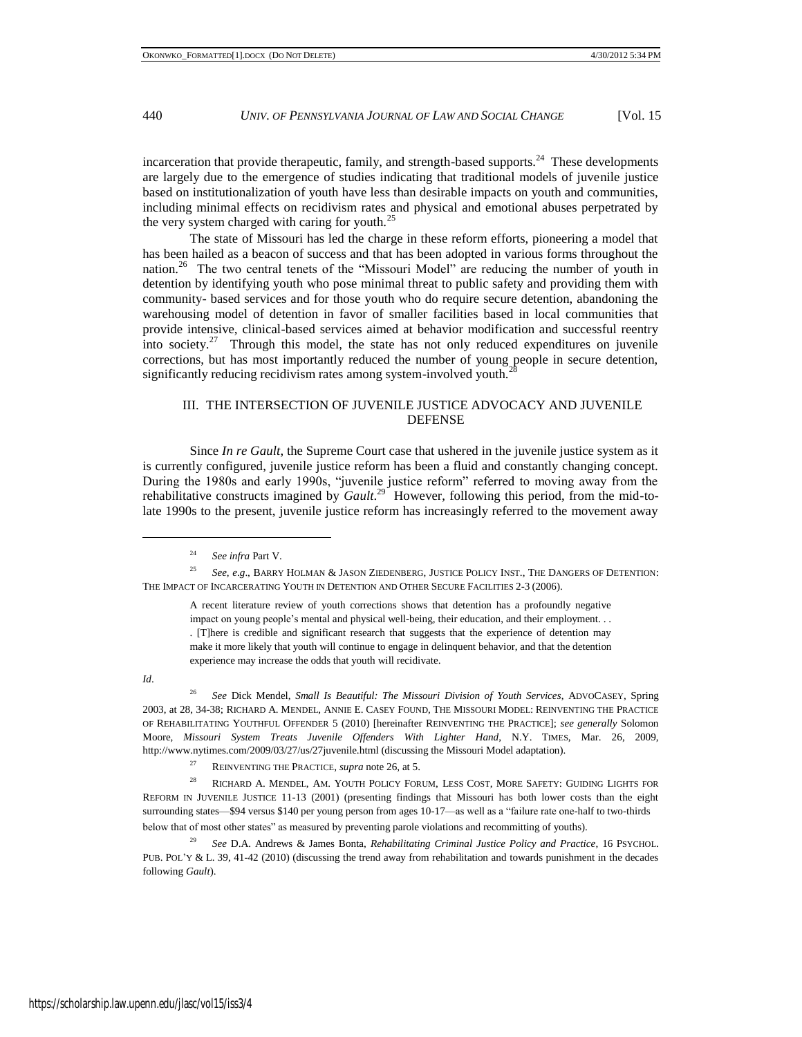incarceration that provide therapeutic, family, and strength-based supports. $24$  These developments are largely due to the emergence of studies indicating that traditional models of juvenile justice based on institutionalization of youth have less than desirable impacts on youth and communities, including minimal effects on recidivism rates and physical and emotional abuses perpetrated by the very system charged with caring for youth.<sup>25</sup>

The state of Missouri has led the charge in these reform efforts, pioneering a model that has been hailed as a beacon of success and that has been adopted in various forms throughout the nation.<sup>26</sup> The two central tenets of the "Missouri Model" are reducing the number of youth in detention by identifying youth who pose minimal threat to public safety and providing them with community- based services and for those youth who do require secure detention, abandoning the warehousing model of detention in favor of smaller facilities based in local communities that provide intensive, clinical-based services aimed at behavior modification and successful reentry into society.<sup>27</sup> Through this model, the state has not only reduced expenditures on juvenile corrections, but has most importantly reduced the number of young people in secure detention, significantly reducing recidivism rates among system-involved youth.<sup>2</sup>

### III. THE INTERSECTION OF JUVENILE JUSTICE ADVOCACY AND JUVENILE **DEFENSE**

Since *In re Gault*, the Supreme Court case that ushered in the juvenile justice system as it is currently configured, juvenile justice reform has been a fluid and constantly changing concept. During the 1980s and early 1990s, "juvenile justice reform" referred to moving away from the rehabilitative constructs imagined by *Gault*.<sup>29</sup> However, following this period, from the mid-tolate 1990s to the present, juvenile justice reform has increasingly referred to the movement away

<sup>24</sup> *See infra* Part V.

<sup>25</sup> *See, e*.*g*., BARRY HOLMAN & JASON ZIEDENBERG, JUSTICE POLICY INST., THE DANGERS OF DETENTION: THE IMPACT OF INCARCERATING YOUTH IN DETENTION AND OTHER SECURE FACILITIES 2-3 (2006).

A recent literature review of youth corrections shows that detention has a profoundly negative impact on young people's mental and physical well-being, their education, and their employment. . . . [T]here is credible and significant research that suggests that the experience of detention may make it more likely that youth will continue to engage in delinquent behavior, and that the detention experience may increase the odds that youth will recidivate.

*Id*.

l

<sup>26</sup> *See* Dick Mendel, *Small Is Beautiful: The Missouri Division of Youth Services*, ADVOCASEY, Spring 2003, at 28, 34-38; RICHARD A. MENDEL, ANNIE E. CASEY FOUND, THE MISSOURI MODEL: REINVENTING THE PRACTICE OF REHABILITATING YOUTHFUL OFFENDER 5 (2010) [hereinafter REINVENTING THE PRACTICE]; *see generally* Solomon Moore, *Missouri System Treats Juvenile Offenders With Lighter Hand*, N.Y. TIMES, Mar. 26, 2009, http://www.nytimes.com/2009/03/27/us/27juvenile.html (discussing the Missouri Model adaptation).

<sup>27</sup> REINVENTING THE PRACTICE, *supra* note 26, at 5.

<sup>28</sup> RICHARD A. MENDEL, AM. YOUTH POLICY FORUM, LESS COST, MORE SAFETY: GUIDING LIGHTS FOR REFORM IN JUVENILE JUSTICE 11-13 (2001) (presenting findings that Missouri has both lower costs than the eight surrounding states—\$94 versus \$140 per young person from ages 10-17—as well as a "failure rate one-half to two-thirds below that of most other states" as measured by preventing parole violations and recommitting of youths).

<sup>29</sup> *See* D.A. Andrews & James Bonta, *Rehabilitating Criminal Justice Policy and Practice*, 16 PSYCHOL. PUB. POL'Y & L. 39, 41-42 (2010) (discussing the trend away from rehabilitation and towards punishment in the decades following *Gault*).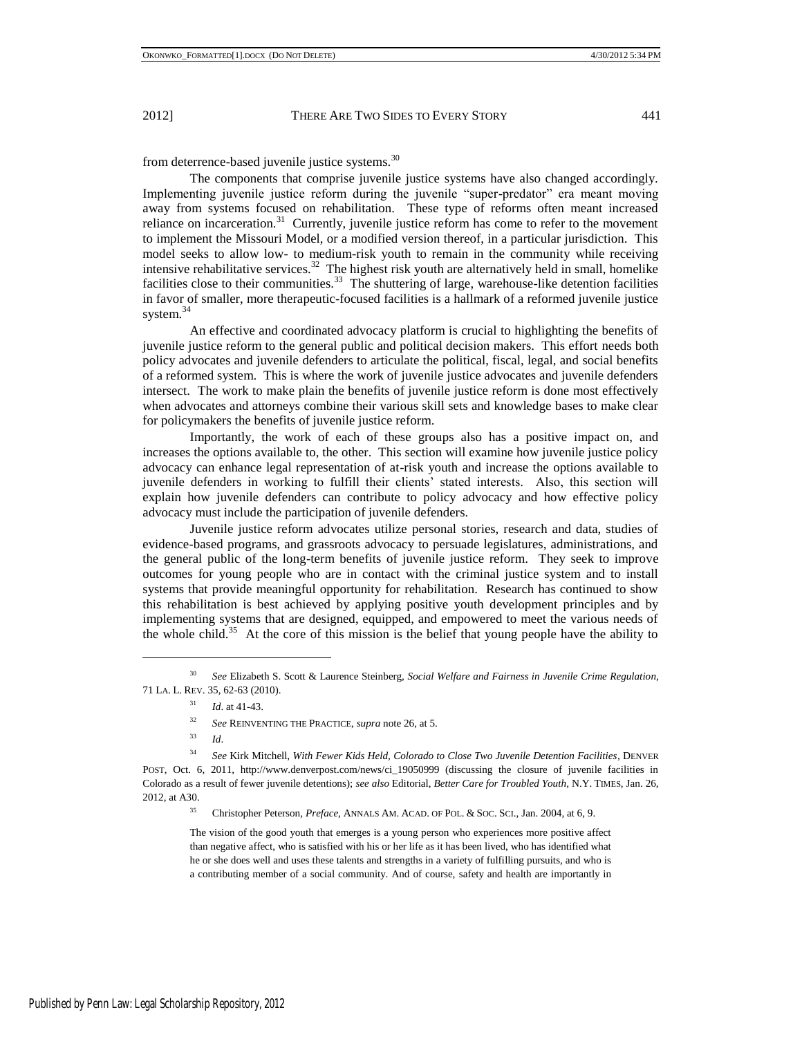from deterrence-based juvenile justice systems.<sup>30</sup>

The components that comprise juvenile justice systems have also changed accordingly. Implementing juvenile justice reform during the juvenile "super-predator" era meant moving away from systems focused on rehabilitation. These type of reforms often meant increased reliance on incarceration.<sup>31</sup> Currently, juvenile justice reform has come to refer to the movement to implement the Missouri Model, or a modified version thereof, in a particular jurisdiction. This model seeks to allow low- to medium-risk youth to remain in the community while receiving intensive rehabilitative services.<sup>32</sup> The highest risk youth are alternatively held in small, homelike facilities close to their communities.<sup>33</sup> The shuttering of large, warehouse-like detention facilities in favor of smaller, more therapeutic-focused facilities is a hallmark of a reformed juvenile justice system.<sup>34</sup>

An effective and coordinated advocacy platform is crucial to highlighting the benefits of juvenile justice reform to the general public and political decision makers. This effort needs both policy advocates and juvenile defenders to articulate the political, fiscal, legal, and social benefits of a reformed system. This is where the work of juvenile justice advocates and juvenile defenders intersect. The work to make plain the benefits of juvenile justice reform is done most effectively when advocates and attorneys combine their various skill sets and knowledge bases to make clear for policymakers the benefits of juvenile justice reform.

Importantly, the work of each of these groups also has a positive impact on, and increases the options available to, the other. This section will examine how juvenile justice policy advocacy can enhance legal representation of at-risk youth and increase the options available to juvenile defenders in working to fulfill their clients' stated interests. Also, this section will explain how juvenile defenders can contribute to policy advocacy and how effective policy advocacy must include the participation of juvenile defenders.

Juvenile justice reform advocates utilize personal stories, research and data, studies of evidence-based programs, and grassroots advocacy to persuade legislatures, administrations, and the general public of the long-term benefits of juvenile justice reform. They seek to improve outcomes for young people who are in contact with the criminal justice system and to install systems that provide meaningful opportunity for rehabilitation. Research has continued to show this rehabilitation is best achieved by applying positive youth development principles and by implementing systems that are designed, equipped, and empowered to meet the various needs of the whole child.<sup>35</sup> At the core of this mission is the belief that young people have the ability to

l

<sup>35</sup> Christopher Peterson, *Preface*, ANNALS AM. ACAD. OF POL. & SOC. SCI., Jan. 2004, at 6, 9.

The vision of the good youth that emerges is a young person who experiences more positive affect than negative affect, who is satisfied with his or her life as it has been lived, who has identified what he or she does well and uses these talents and strengths in a variety of fulfilling pursuits, and who is a contributing member of a social community. And of course, safety and health are importantly in

<sup>30</sup> *See* Elizabeth S. Scott & Laurence Steinberg, *Social Welfare and Fairness in Juvenile Crime Regulation*, 71 LA. L. REV. 35, 62-63 (2010).

<sup>31</sup> *Id*. at 41-43.

<sup>32</sup> *See* REINVENTING THE PRACTICE, *supra* note 26, at 5.

<sup>33</sup> *Id*.

<sup>34</sup> *See* Kirk Mitchell, *With Fewer Kids Held, Colorado to Close Two Juvenile Detention Facilities*, DENVER POST, Oct. 6, 2011, http://www.denverpost.com/news/ci\_19050999 (discussing the closure of juvenile facilities in Colorado as a result of fewer juvenile detentions); *see also* Editorial, *Better Care for Troubled Youth*, N.Y. TIMES, Jan. 26, 2012, at A30.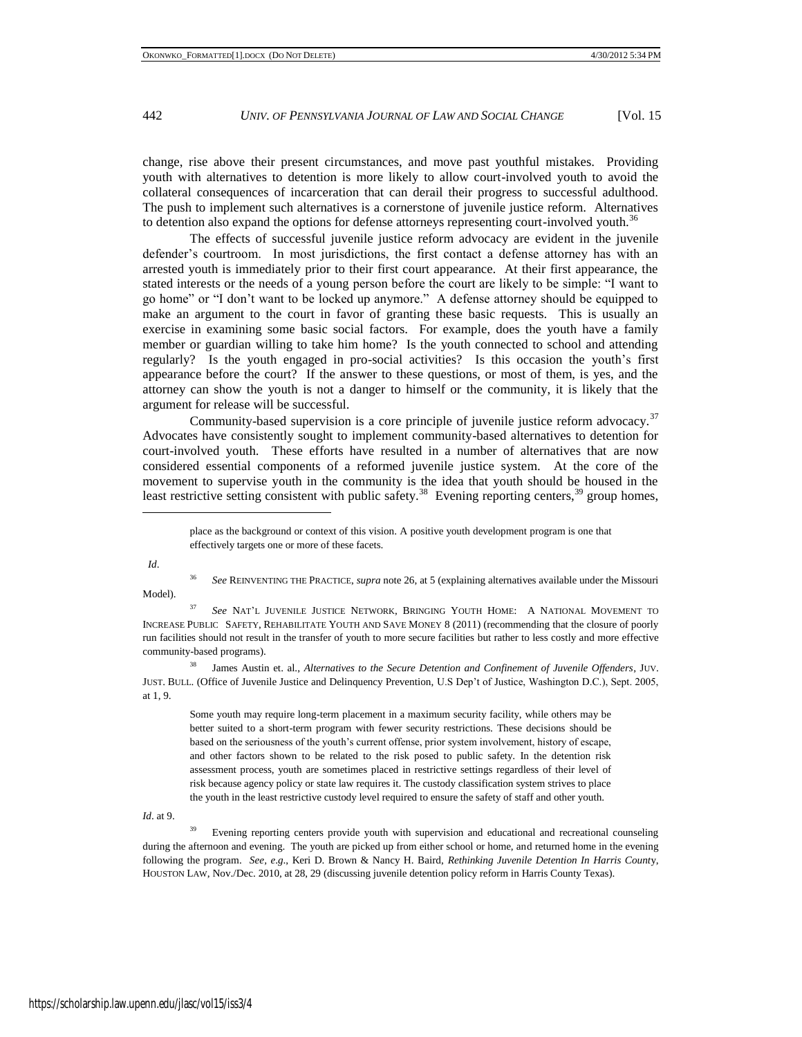change, rise above their present circumstances, and move past youthful mistakes. Providing youth with alternatives to detention is more likely to allow court-involved youth to avoid the collateral consequences of incarceration that can derail their progress to successful adulthood. The push to implement such alternatives is a cornerstone of juvenile justice reform. Alternatives to detention also expand the options for defense attorneys representing court-involved youth.<sup>36</sup>

The effects of successful juvenile justice reform advocacy are evident in the juvenile defender's courtroom. In most jurisdictions, the first contact a defense attorney has with an arrested youth is immediately prior to their first court appearance. At their first appearance, the stated interests or the needs of a young person before the court are likely to be simple: "I want to go home" or "I don't want to be locked up anymore." A defense attorney should be equipped to make an argument to the court in favor of granting these basic requests. This is usually an exercise in examining some basic social factors. For example, does the youth have a family member or guardian willing to take him home? Is the youth connected to school and attending regularly? Is the youth engaged in pro-social activities? Is this occasion the youth's first appearance before the court? If the answer to these questions, or most of them, is yes, and the attorney can show the youth is not a danger to himself or the community, it is likely that the argument for release will be successful.

Community-based supervision is a core principle of juvenile justice reform advocacy. $37$ Advocates have consistently sought to implement community-based alternatives to detention for court-involved youth. These efforts have resulted in a number of alternatives that are now considered essential components of a reformed juvenile justice system. At the core of the movement to supervise youth in the community is the idea that youth should be housed in the least restrictive setting consistent with public safety.<sup>38</sup> Evening reporting centers,<sup>39</sup> group homes,

*Id*.

l

<sup>36</sup> *See* REINVENTING THE PRACTICE, *supra* note 26, at 5 (explaining alternatives available under the Missouri Model).

<sup>37</sup> *See* NAT'L JUVENILE JUSTICE NETWORK, BRINGING YOUTH HOME: A NATIONAL MOVEMENT TO INCREASE PUBLIC SAFETY, REHABILITATE YOUTH AND SAVE MONEY 8 (2011) (recommending that the closure of poorly run facilities should not result in the transfer of youth to more secure facilities but rather to less costly and more effective community-based programs).

<sup>38</sup> James Austin et. al., *Alternatives to the Secure Detention and Confinement of Juvenile Offenders*, JUV. JUST. BULL. (Office of Juvenile Justice and Delinquency Prevention, U.S Dep't of Justice, Washington D.C.), Sept. 2005, at 1, 9.

Some youth may require long-term placement in a maximum security facility, while others may be better suited to a short-term program with fewer security restrictions. These decisions should be based on the seriousness of the youth's current offense, prior system involvement, history of escape, and other factors shown to be related to the risk posed to public safety. In the detention risk assessment process, youth are sometimes placed in restrictive settings regardless of their level of risk because agency policy or state law requires it. The custody classification system strives to place the youth in the least restrictive custody level required to ensure the safety of staff and other youth.

*Id*. at 9.

<sup>39</sup> Evening reporting centers provide youth with supervision and educational and recreational counseling during the afternoon and evening. The youth are picked up from either school or home, and returned home in the evening following the program. *See, e*.*g*., Keri D. Brown & Nancy H. Baird, *Rethinking Juvenile Detention In Harris Count*y, HOUSTON LAW, Nov./Dec. 2010, at 28, 29 (discussing juvenile detention policy reform in Harris County Texas).

place as the background or context of this vision. A positive youth development program is one that effectively targets one or more of these facets.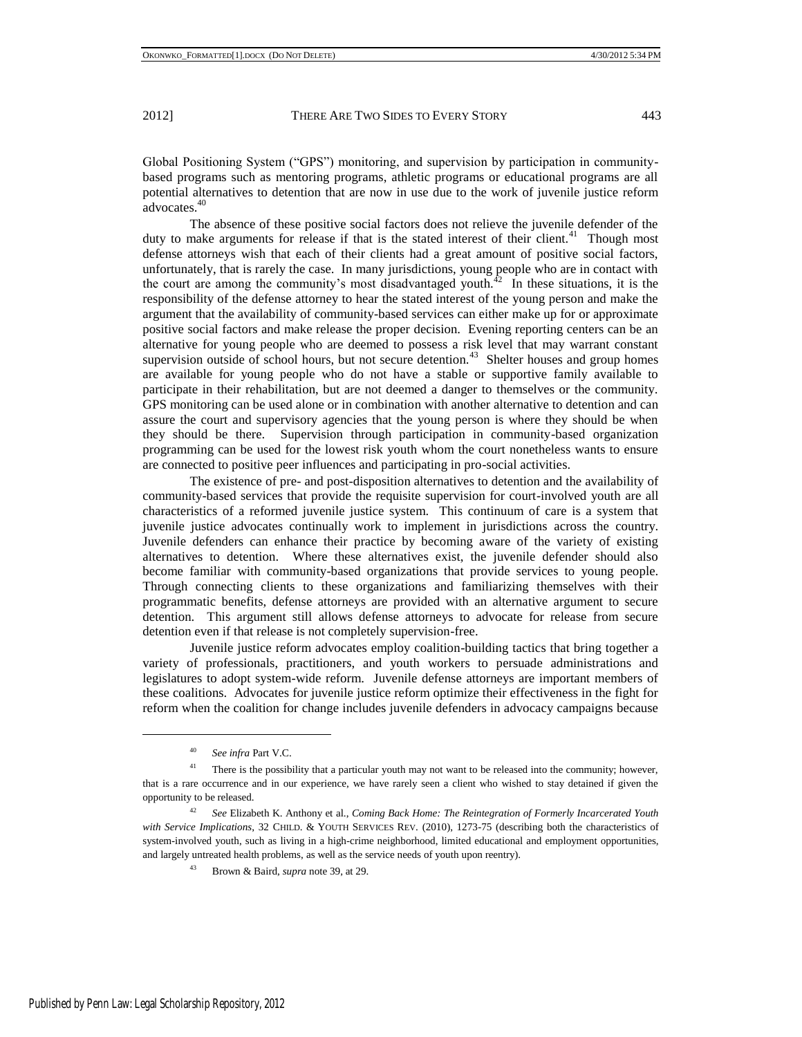Global Positioning System ("GPS") monitoring, and supervision by participation in communitybased programs such as mentoring programs, athletic programs or educational programs are all potential alternatives to detention that are now in use due to the work of juvenile justice reform advocates.<sup>40</sup>

The absence of these positive social factors does not relieve the juvenile defender of the duty to make arguments for release if that is the stated interest of their client.<sup>41</sup> Though most defense attorneys wish that each of their clients had a great amount of positive social factors, unfortunately, that is rarely the case. In many jurisdictions, young people who are in contact with the court are among the community's most disadvantaged youth.<sup>42</sup> In these situations, it is the responsibility of the defense attorney to hear the stated interest of the young person and make the argument that the availability of community-based services can either make up for or approximate positive social factors and make release the proper decision. Evening reporting centers can be an alternative for young people who are deemed to possess a risk level that may warrant constant supervision outside of school hours, but not secure detention.<sup>43</sup> Shelter houses and group homes are available for young people who do not have a stable or supportive family available to participate in their rehabilitation, but are not deemed a danger to themselves or the community. GPS monitoring can be used alone or in combination with another alternative to detention and can assure the court and supervisory agencies that the young person is where they should be when they should be there. Supervision through participation in community-based organization programming can be used for the lowest risk youth whom the court nonetheless wants to ensure are connected to positive peer influences and participating in pro-social activities.

The existence of pre- and post-disposition alternatives to detention and the availability of community-based services that provide the requisite supervision for court-involved youth are all characteristics of a reformed juvenile justice system. This continuum of care is a system that juvenile justice advocates continually work to implement in jurisdictions across the country. Juvenile defenders can enhance their practice by becoming aware of the variety of existing alternatives to detention. Where these alternatives exist, the juvenile defender should also become familiar with community-based organizations that provide services to young people. Through connecting clients to these organizations and familiarizing themselves with their programmatic benefits, defense attorneys are provided with an alternative argument to secure detention. This argument still allows defense attorneys to advocate for release from secure detention even if that release is not completely supervision-free.

Juvenile justice reform advocates employ coalition-building tactics that bring together a variety of professionals, practitioners, and youth workers to persuade administrations and legislatures to adopt system-wide reform. Juvenile defense attorneys are important members of these coalitions. Advocates for juvenile justice reform optimize their effectiveness in the fight for reform when the coalition for change includes juvenile defenders in advocacy campaigns because

<sup>40</sup> *See infra* Part V.C.

<sup>&</sup>lt;sup>41</sup> There is the possibility that a particular youth may not want to be released into the community; however, that is a rare occurrence and in our experience, we have rarely seen a client who wished to stay detained if given the opportunity to be released.

<sup>42</sup> *See* Elizabeth K. Anthony et al., *Coming Back Home: The Reintegration of Formerly Incarcerated Youth with Service Implications*, 32 CHILD. & YOUTH SERVICES REV. (2010), 1273-75 (describing both the characteristics of system-involved youth, such as living in a high-crime neighborhood, limited educational and employment opportunities, and largely untreated health problems, as well as the service needs of youth upon reentry).

<sup>43</sup> Brown & Baird, *supra* note 39, at 29.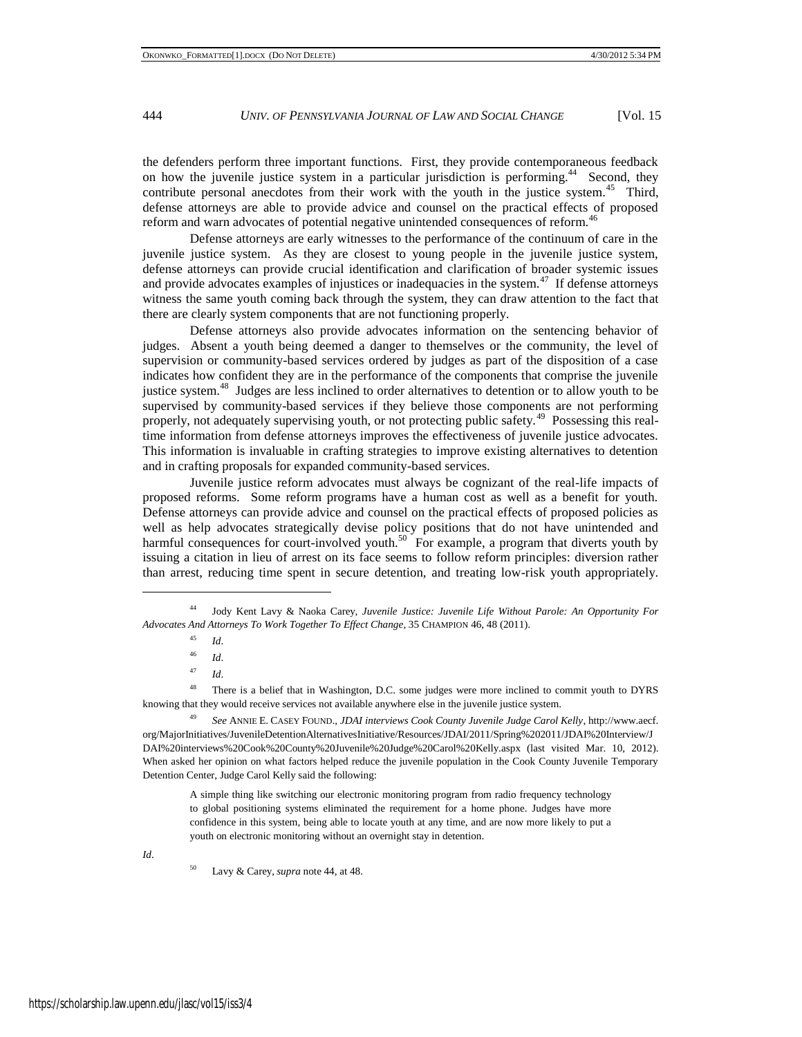the defenders perform three important functions. First, they provide contemporaneous feedback on how the juvenile justice system in a particular jurisdiction is performing.<sup>44</sup> Second, they contribute personal anecdotes from their work with the youth in the justice system.<sup>45</sup> Third, defense attorneys are able to provide advice and counsel on the practical effects of proposed reform and warn advocates of potential negative unintended consequences of reform.<sup>46</sup>

Defense attorneys are early witnesses to the performance of the continuum of care in the juvenile justice system. As they are closest to young people in the juvenile justice system, defense attorneys can provide crucial identification and clarification of broader systemic issues and provide advocates examples of injustices or inadequacies in the system.<sup>47</sup> If defense attorneys witness the same youth coming back through the system, they can draw attention to the fact that there are clearly system components that are not functioning properly.

Defense attorneys also provide advocates information on the sentencing behavior of judges. Absent a youth being deemed a danger to themselves or the community, the level of supervision or community-based services ordered by judges as part of the disposition of a case indicates how confident they are in the performance of the components that comprise the juvenile justice system.<sup>48</sup> Judges are less inclined to order alternatives to detention or to allow youth to be supervised by community-based services if they believe those components are not performing properly, not adequately supervising youth, or not protecting public safety.<sup>49</sup> Possessing this realtime information from defense attorneys improves the effectiveness of juvenile justice advocates. This information is invaluable in crafting strategies to improve existing alternatives to detention and in crafting proposals for expanded community-based services.

Juvenile justice reform advocates must always be cognizant of the real-life impacts of proposed reforms. Some reform programs have a human cost as well as a benefit for youth. Defense attorneys can provide advice and counsel on the practical effects of proposed policies as well as help advocates strategically devise policy positions that do not have unintended and harmful consequences for court-involved youth.<sup>50</sup> For example, a program that diverts youth by issuing a citation in lieu of arrest on its face seems to follow reform principles: diversion rather than arrest, reducing time spent in secure detention, and treating low-risk youth appropriately.

<sup>48</sup> There is a belief that in Washington, D.C. some judges were more inclined to commit youth to DYRS knowing that they would receive services not available anywhere else in the juvenile justice system.

<sup>49</sup> *See* ANNIE E. CASEY FOUND., *JDAI interviews Cook County Juvenile Judge Carol Kelly*, http://www.aecf. org/MajorInitiatives/JuvenileDetentionAlternativesInitiative/Resources/JDAI/2011/Spring%202011/JDAI%20Interview/J DAI%20interviews%20Cook%20County%20Juvenile%20Judge%20Carol%20Kelly.aspx (last visited Mar. 10, 2012). When asked her opinion on what factors helped reduce the juvenile population in the Cook County Juvenile Temporary Detention Center, Judge Carol Kelly said the following:

A simple thing like switching our electronic monitoring program from radio frequency technology to global positioning systems eliminated the requirement for a home phone. Judges have more confidence in this system, being able to locate youth at any time, and are now more likely to put a youth on electronic monitoring without an overnight stay in detention.

*Id*.

l

Lavy & Carey, *supra* note 44, at 48.

<sup>44</sup> Jody Kent Lavy & Naoka Carey, *Juvenile Justice: Juvenile Life Without Parole: An Opportunity For Advocates And Attorneys To Work Together To Effect Change*, 35 CHAMPION 46, 48 (2011).

<sup>45</sup> *Id*.

<sup>46</sup> *Id*.

<sup>47</sup> *Id*.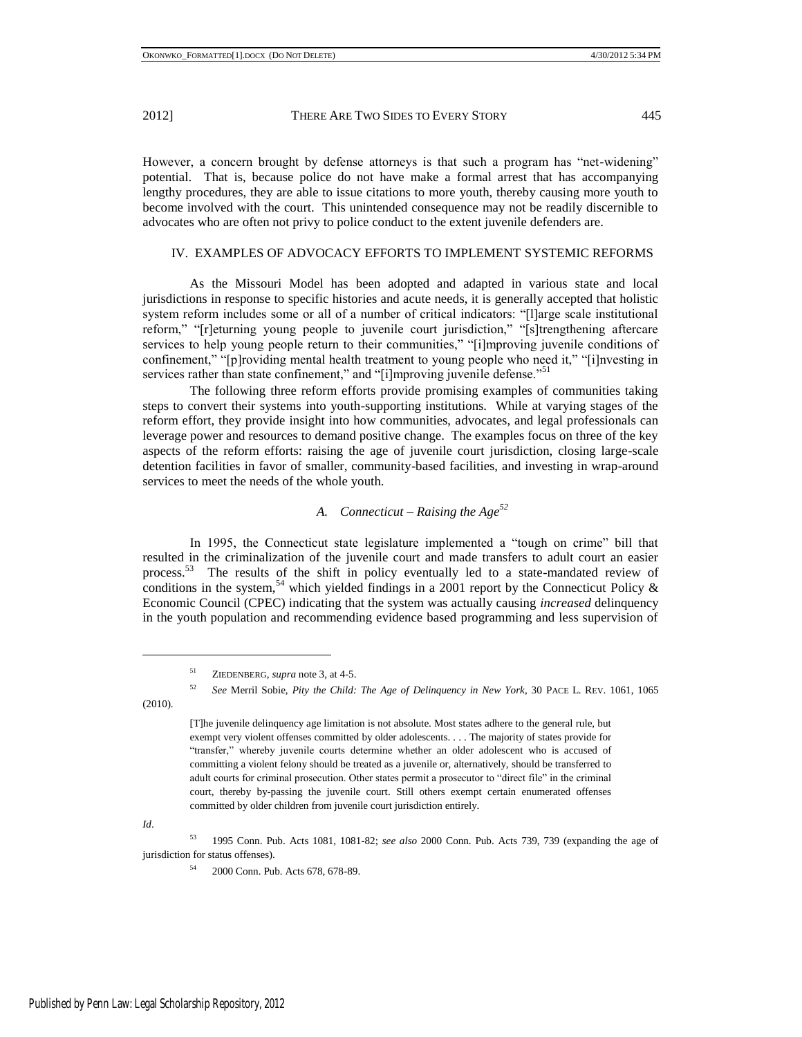However, a concern brought by defense attorneys is that such a program has "net-widening" potential. That is, because police do not have make a formal arrest that has accompanying lengthy procedures, they are able to issue citations to more youth, thereby causing more youth to become involved with the court. This unintended consequence may not be readily discernible to advocates who are often not privy to police conduct to the extent juvenile defenders are.

# IV. EXAMPLES OF ADVOCACY EFFORTS TO IMPLEMENT SYSTEMIC REFORMS

As the Missouri Model has been adopted and adapted in various state and local jurisdictions in response to specific histories and acute needs, it is generally accepted that holistic system reform includes some or all of a number of critical indicators: "[I]arge scale institutional reform," "[r]eturning young people to juvenile court jurisdiction," "[s]trengthening aftercare services to help young people return to their communities," "[i]mproving juvenile conditions of confinement," "[p]roviding mental health treatment to young people who need it," "[i]nvesting in services rather than state confinement," and "[i]mproving juvenile defense."<sup>51</sup>

The following three reform efforts provide promising examples of communities taking steps to convert their systems into youth-supporting institutions. While at varying stages of the reform effort, they provide insight into how communities, advocates, and legal professionals can leverage power and resources to demand positive change. The examples focus on three of the key aspects of the reform efforts: raising the age of juvenile court jurisdiction, closing large-scale detention facilities in favor of smaller, community-based facilities, and investing in wrap-around services to meet the needs of the whole youth.

# *A. Connecticut – Raising the Age<sup>52</sup>*

In 1995, the Connecticut state legislature implemented a "tough on crime" bill that resulted in the criminalization of the juvenile court and made transfers to adult court an easier process.<sup>53</sup> The results of the shift in policy eventually led to a state-mandated review of conditions in the system,<sup>54</sup> which yielded findings in a 2001 report by the Connecticut Policy  $\&$ Economic Council (CPEC) indicating that the system was actually causing *increased* delinquency in the youth population and recommending evidence based programming and less supervision of

(2010).

l

*Id*.

<sup>53</sup> 1995 Conn. Pub. Acts 1081, 1081-82; *see also* 2000 Conn. Pub. Acts 739, 739 (expanding the age of jurisdiction for status offenses).

<sup>51</sup> ZIEDENBERG, *supra* note 3, at 4-5.

<sup>52</sup> *See* Merril Sobie, *Pity the Child: The Age of Delinquency in New York*, 30 PACE L. REV. 1061, 1065

<sup>[</sup>T]he juvenile delinquency age limitation is not absolute. Most states adhere to the general rule, but exempt very violent offenses committed by older adolescents. . . . The majority of states provide for "transfer," whereby juvenile courts determine whether an older adolescent who is accused of committing a violent felony should be treated as a juvenile or, alternatively, should be transferred to adult courts for criminal prosecution. Other states permit a prosecutor to "direct file" in the criminal court, thereby by-passing the juvenile court. Still others exempt certain enumerated offenses committed by older children from juvenile court jurisdiction entirely.

<sup>54</sup> 2000 Conn. Pub. Acts 678, 678-89.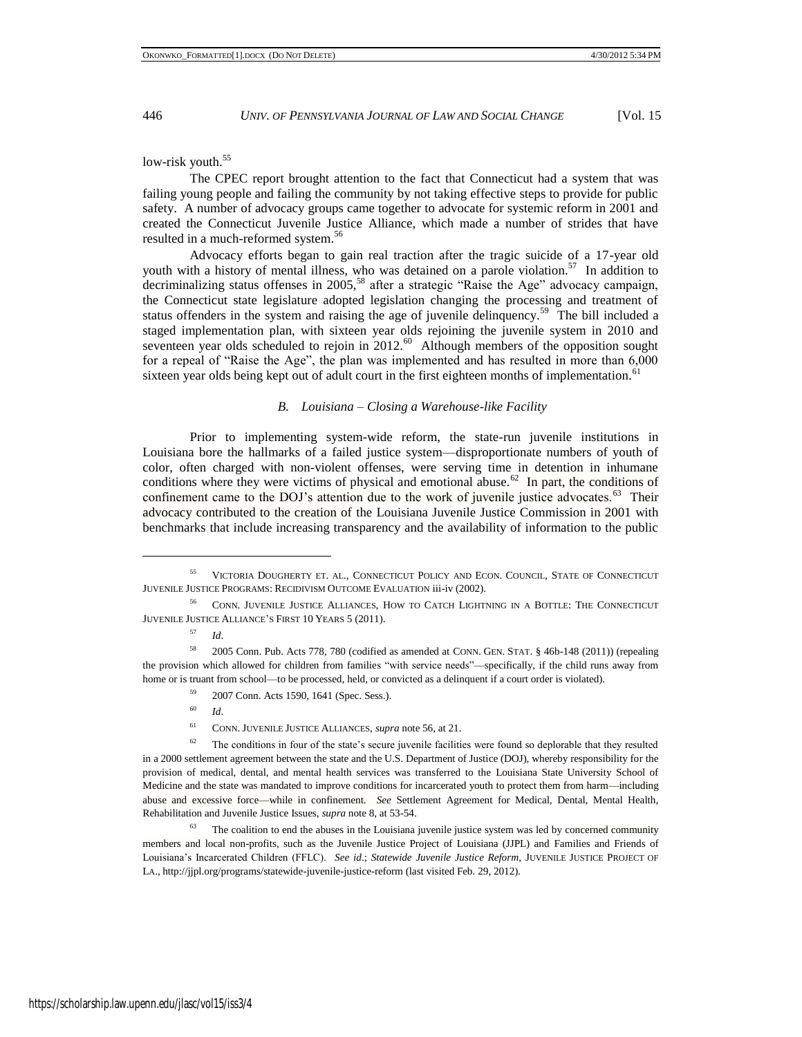low-risk youth.<sup>55</sup>

The CPEC report brought attention to the fact that Connecticut had a system that was failing young people and failing the community by not taking effective steps to provide for public safety. A number of advocacy groups came together to advocate for systemic reform in 2001 and created the Connecticut Juvenile Justice Alliance, which made a number of strides that have resulted in a much-reformed system.<sup>56</sup>

Advocacy efforts began to gain real traction after the tragic suicide of a 17-year old youth with a history of mental illness, who was detained on a parole violation.<sup>57</sup> In addition to decriminalizing status offenses in  $2005$ ,<sup>58</sup> after a strategic "Raise the Age" advocacy campaign, the Connecticut state legislature adopted legislation changing the processing and treatment of status offenders in the system and raising the age of juvenile delinquency.<sup>59</sup> The bill included a staged implementation plan, with sixteen year olds rejoining the juvenile system in 2010 and seventeen year olds scheduled to rejoin in 2012.<sup>60</sup> Although members of the opposition sought for a repeal of "Raise the Age", the plan was implemented and has resulted in more than 6,000 sixteen year olds being kept out of adult court in the first eighteen months of implementation.<sup>61</sup>

#### *B. Louisiana – Closing a Warehouse-like Facility*

Prior to implementing system-wide reform, the state-run juvenile institutions in Louisiana bore the hallmarks of a failed justice system—disproportionate numbers of youth of color, often charged with non-violent offenses, were serving time in detention in inhumane conditions where they were victims of physical and emotional abuse.<sup>62</sup> In part, the conditions of confinement came to the DOJ's attention due to the work of juvenile justice advocates.<sup>63</sup> Their advocacy contributed to the creation of the Louisiana Juvenile Justice Commission in 2001 with benchmarks that include increasing transparency and the availability of information to the public

<sup>55</sup> VICTORIA D[OUGHERTY](http://www.google.com/search?tbo=p&tbm=bks&q=inauthor:%22Victoria+Dougherty%22) ET. AL., CONNECTICUT POLICY AND ECON. COUNCIL, STATE OF CONNECTICUT JUVENILE JUSTICE PROGRAMS: RECIDIVISM OUTCOME EVALUATION iii-iv (2002).

<sup>56</sup> CONN. JUVENILE JUSTICE ALLIANCES, HOW TO CATCH LIGHTNING IN A BOTTLE: THE CONNECTICUT JUVENILE JUSTICE ALLIANCE'S FIRST 10 YEARS 5 (2011).

<sup>57</sup> *Id*.

<sup>58</sup> 2005 Conn. Pub. Acts 778, 780 (codified as amended at CONN. GEN. STAT. § 46b-148 (2011)) (repealing the provision which allowed for children from families "with service needs"—specifically, if the child runs away from home or is truant from school—to be processed, held, or convicted as a delinquent if a court order is violated).

<sup>59</sup> 2007 Conn. Acts 1590, 1641 (Spec. Sess.).

<sup>60</sup> *Id*.

<sup>61</sup> CONN. JUVENILE JUSTICE ALLIANCES, *supra* note 56, at 21.

<sup>&</sup>lt;sup>62</sup> The conditions in four of the state's secure juvenile facilities were found so deplorable that they resulted in a 2000 settlement agreement between the state and the U.S. Department of Justice (DOJ), whereby responsibility for the provision of medical, dental, and mental health services was transferred to the Louisiana State University School of Medicine and the state was mandated to improve conditions for incarcerated youth to protect them from harm—including abuse and excessive force—while in confinement. *See* Settlement Agreement for Medical, Dental, Mental Health, Rehabilitation and Juvenile Justice Issues, *supra* note 8, at 53-54.

 $63$  The coalition to end the abuses in the Louisiana juvenile justice system was led by concerned community members and local non-profits, such as the Juvenile Justice Project of Louisiana (JJPL) and Families and Friends of Louisiana's Incarcerated Children (FFLC). *See id*.; *Statewide Juvenile Justice Reform*, JUVENILE JUSTICE PROJECT OF LA., http://jjpl.org/programs/statewide-juvenile-justice-reform (last visited Feb. 29, 2012).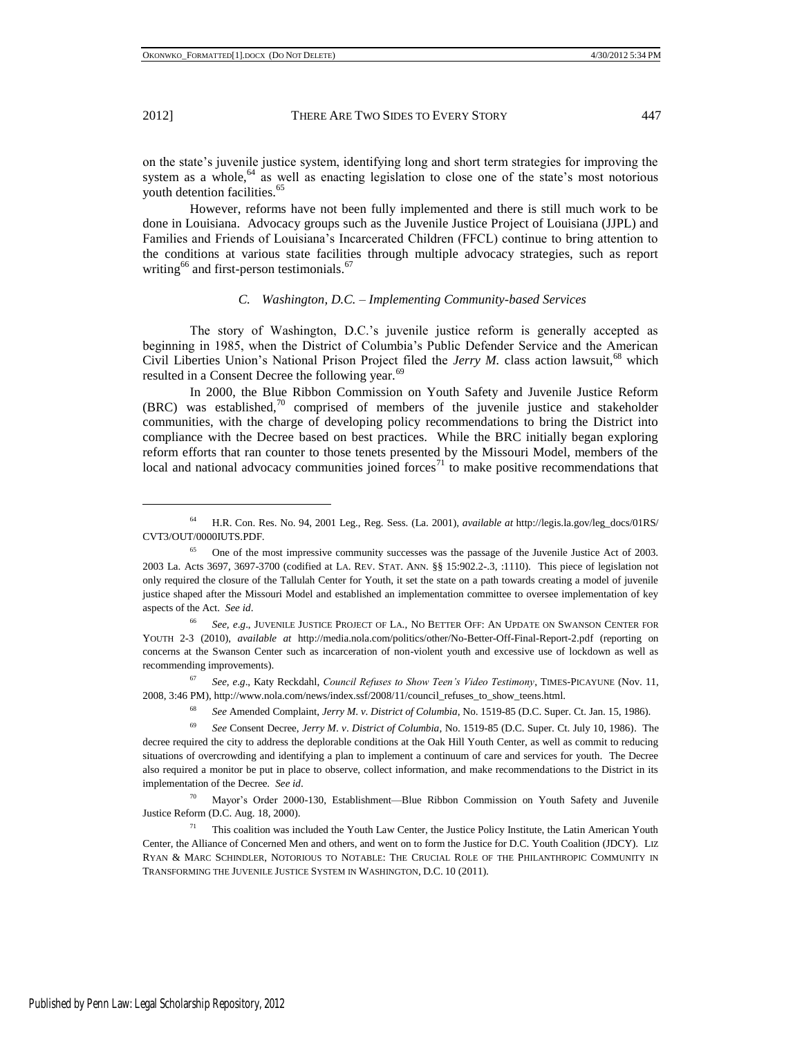on the state's juvenile justice system, identifying long and short term strategies for improving the system as a whole, $64$  as well as enacting legislation to close one of the state's most notorious youth detention facilities.<sup>65</sup>

However, reforms have not been fully implemented and there is still much work to be done in Louisiana. Advocacy groups such as the Juvenile Justice Project of Louisiana (JJPL) and Families and Friends of Louisiana's Incarcerated Children (FFCL) continue to bring attention to the conditions at various state facilities through multiple advocacy strategies, such as report writing<sup>66</sup> and first-person testimonials.<sup>67</sup>

# *C. Washington, D.C. – Implementing Community-based Services*

The story of Washington, D.C.'s juvenile justice reform is generally accepted as beginning in 1985, when the District of Columbia's Public Defender Service and the American Civil Liberties Union's National Prison Project filed the *Jerry M*. class action lawsuit,<sup>68</sup> which resulted in a Consent Decree the following year.<sup>69</sup>

In 2000, the Blue Ribbon Commission on Youth Safety and Juvenile Justice Reform (BRC) was established, $70$  comprised of members of the juvenile justice and stakeholder communities, with the charge of developing policy recommendations to bring the District into compliance with the Decree based on best practices. While the BRC initially began exploring reform efforts that ran counter to those tenets presented by the Missouri Model, members of the local and national advocacy communities joined forces<sup>71</sup> to make positive recommendations that

<sup>67</sup> *See, e*.*g*., Katy Reckdahl, *Council Refuses to Show Teen's Video Testimony*, TIMES-PICAYUNE (Nov. 11, 2008, 3:46 PM), http://www.nola.com/news/index.ssf/2008/11/council\_refuses\_to\_show\_teens.html.

<sup>64</sup> H.R. Con. Res. No. 94, 2001 Leg., Reg. Sess. (La. 2001), *available at* http://legis.la.gov/leg\_docs/01RS/ CVT3/OUT/0000IUTS.PDF.

<sup>&</sup>lt;sup>65</sup> One of the most impressive community successes was the passage of the Juvenile Justice Act of 2003. 2003 La. Acts 3697, 3697-3700 (codified at LA. REV. STAT. ANN. §§ 15:902.2-.3, :1110). This piece of legislation not only required the closure of the Tallulah Center for Youth, it set the state on a path towards creating a model of juvenile justice shaped after the Missouri Model and established an implementation committee to oversee implementation of key aspects of the Act. *See id*.

<sup>66</sup> *See, e*.*g*., JUVENILE JUSTICE PROJECT OF LA., NO BETTER OFF: AN UPDATE ON SWANSON CENTER FOR YOUTH 2-3 (2010), *available at* http://media.nola.com/politics/other/No-Better-Off-Final-Report-2.pdf (reporting on concerns at the Swanson Center such as incarceration of non-violent youth and excessive use of lockdown as well as recommending improvements).

<sup>68</sup> *See* Amended Complaint, *Jerry M*. *v*. *District of Columbia*, No. 1519-85 (D.C. Super. Ct. Jan. 15, 1986).

<sup>69</sup> *See* Consent Decree, *Jerry M*. *v*. *District of Columbia*, No. 1519-85 (D.C. Super. Ct. July 10, 1986). The decree required the city to address the deplorable conditions at the Oak Hill Youth Center, as well as commit to reducing situations of overcrowding and identifying a plan to implement a continuum of care and services for youth. The Decree also required a monitor be put in place to observe, collect information, and make recommendations to the District in its implementation of the Decree. *See id*.

<sup>70</sup> Mayor's Order 2000-130, Establishment—Blue Ribbon Commission on Youth Safety and Juvenile Justice Reform (D.C. Aug. 18, 2000).

<sup>&</sup>lt;sup>71</sup> This coalition was included the Youth Law Center, the Justice Policy Institute, the Latin American Youth Center, the Alliance of Concerned Men and others, and went on to form the Justice for D.C. Youth Coalition (JDCY). LIZ RYAN & MARC SCHINDLER, NOTORIOUS TO NOTABLE: THE CRUCIAL ROLE OF THE PHILANTHROPIC COMMUNITY IN TRANSFORMING THE JUVENILE JUSTICE SYSTEM IN WASHINGTON, D.C. 10 (2011).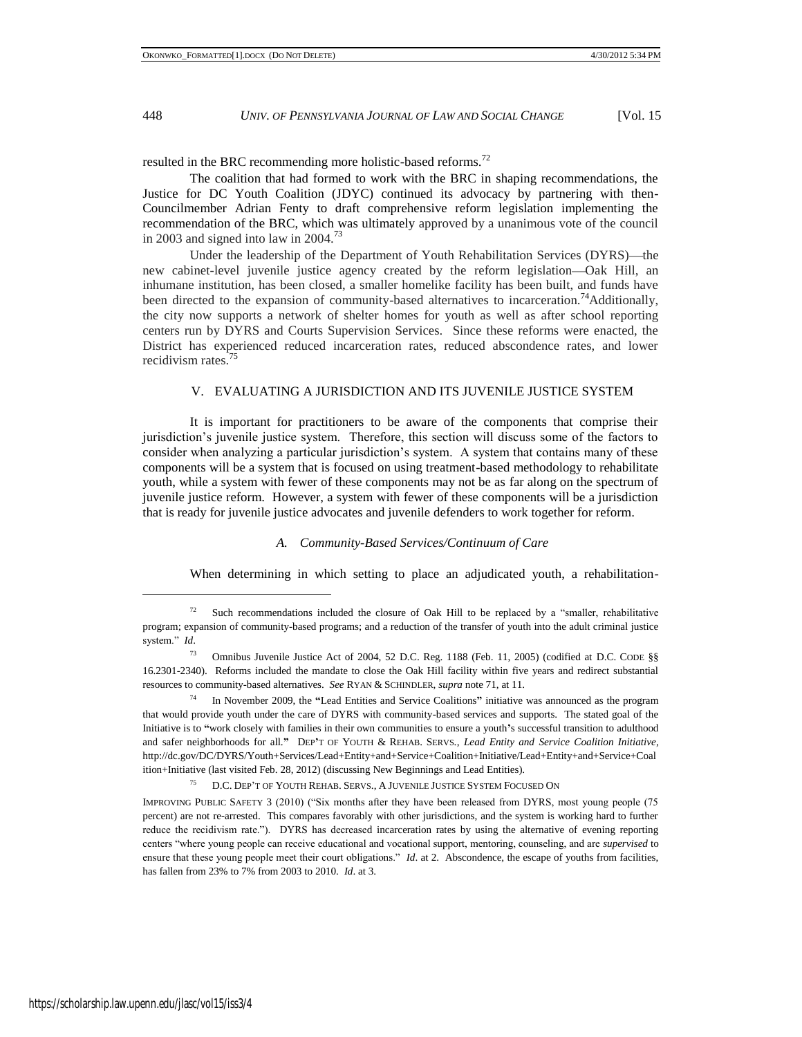resulted in the BRC recommending more holistic-based reforms.<sup>72</sup>

The coalition that had formed to work with the BRC in shaping recommendations, the Justice for DC Youth Coalition (JDYC) continued its advocacy by partnering with then-Councilmember Adrian Fenty to draft comprehensive reform legislation implementing the recommendation of the BRC, which was ultimately approved by a unanimous vote of the council in 2003 and signed into law in 2004.<sup>73</sup>

Under the leadership of the Department of Youth Rehabilitation Services (DYRS)—the new cabinet-level juvenile justice agency created by the reform legislation—Oak Hill, an inhumane institution, has been closed, a smaller homelike facility has been built, and funds have been directed to the expansion of community-based alternatives to incarceration.<sup>74</sup>Additionally, the city now supports a network of shelter homes for youth as well as after school reporting centers run by DYRS and Courts Supervision Services. Since these reforms were enacted, the District has experienced reduced incarceration rates, reduced abscondence rates, and lower recidivism rates.<sup>75</sup>

### V. EVALUATING A JURISDICTION AND ITS JUVENILE JUSTICE SYSTEM

It is important for practitioners to be aware of the components that comprise their jurisdiction's juvenile justice system. Therefore, this section will discuss some of the factors to consider when analyzing a particular jurisdiction's system. A system that contains many of these components will be a system that is focused on using treatment-based methodology to rehabilitate youth, while a system with fewer of these components may not be as far along on the spectrum of juvenile justice reform. However, a system with fewer of these components will be a jurisdiction that is ready for juvenile justice advocates and juvenile defenders to work together for reform.

### *A. Community-Based Services/Continuum of Care*

When determining in which setting to place an adjudicated youth, a rehabilitation-

<sup>75</sup> D.C. DEP'T OF YOUTH REHAB. SERVS., A JUVENILE JUSTICE SYSTEM FOCUSED ON

 $72$  Such recommendations included the closure of Oak Hill to be replaced by a "smaller, rehabilitative program; expansion of community-based programs; and a reduction of the transfer of youth into the adult criminal justice system." *Id.* 

<sup>73</sup> Omnibus Juvenile Justice Act of 2004, 52 D.C. Reg. 1188 (Feb. 11, 2005) (codified at D.C. CODE §§ 16.2301-2340). Reforms included the mandate to close the Oak Hill facility within five years and redirect substantial resources to community-based alternatives. *See* RYAN & SCHINDLER, *supra* note 71, at 11.

<sup>74</sup> In November 2009, the **"**Lead Entities and Service Coalitions**"** initiative was announced as the program that would provide youth under the care of DYRS with community-based services and supports. The stated goal of the Initiative is to **"**work closely with families in their own communities to ensure a youth**'**s successful transition to adulthood and safer neighborhoods for all.**"** DEP**'**T OF YOUTH & REHAB. SERVS., *Lead Entity and Service Coalition Initiative*, http://dc.gov/DC/DYRS/Youth+Services/Lead+Entity+and+Service+Coalition+Initiative/Lead+Entity+and+Service+Coal ition+Initiative (last visited Feb. 28, 2012) (discussing New Beginnings and Lead Entities).

IMPROVING PUBLIC SAFETY 3 (2010) ("Six months after they have been released from DYRS, most young people (75 percent) are not re-arrested. This compares favorably with other jurisdictions, and the system is working hard to further reduce the recidivism rate."). DYRS has decreased incarceration rates by using the alternative of evening reporting centers ―where young people can receive educational and vocational support, mentoring, counseling, and are *supervised* to ensure that these young people meet their court obligations." *Id.* at 2. Abscondence, the escape of youths from facilities, has fallen from 23% to 7% from 2003 to 2010. *Id*. at 3.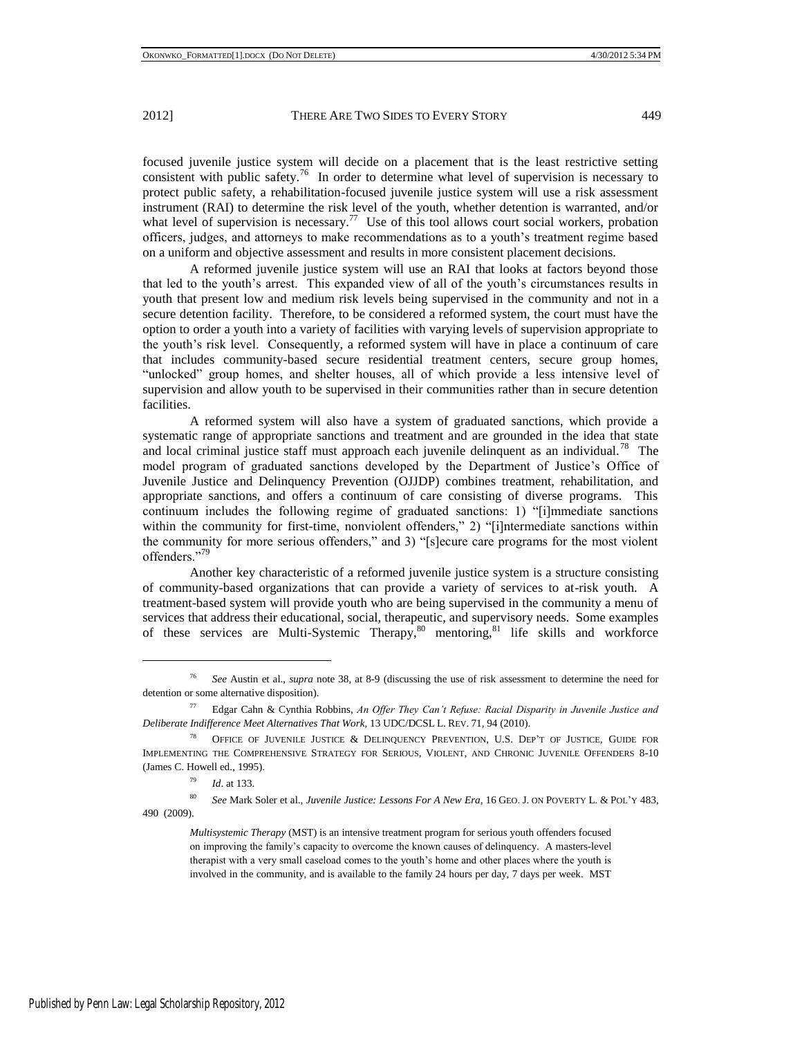focused juvenile justice system will decide on a placement that is the least restrictive setting consistent with public safety.<sup>76</sup> In order to determine what level of supervision is necessary to protect public safety, a rehabilitation-focused juvenile justice system will use a risk assessment instrument (RAI) to determine the risk level of the youth, whether detention is warranted, and/or what level of supervision is necessary.<sup>77</sup> Use of this tool allows court social workers, probation officers, judges, and attorneys to make recommendations as to a youth's treatment regime based on a uniform and objective assessment and results in more consistent placement decisions.

A reformed juvenile justice system will use an RAI that looks at factors beyond those that led to the youth's arrest. This expanded view of all of the youth's circumstances results in youth that present low and medium risk levels being supervised in the community and not in a secure detention facility. Therefore, to be considered a reformed system, the court must have the option to order a youth into a variety of facilities with varying levels of supervision appropriate to the youth's risk level. Consequently, a reformed system will have in place a continuum of care that includes community-based secure residential treatment centers, secure group homes, "unlocked" group homes, and shelter houses, all of which provide a less intensive level of supervision and allow youth to be supervised in their communities rather than in secure detention facilities.

A reformed system will also have a system of graduated sanctions, which provide a systematic range of appropriate sanctions and treatment and are grounded in the idea that state and local criminal justice staff must approach each juvenile delinquent as an individual.<sup>78</sup> The model program of graduated sanctions developed by the Department of Justice's Office of Juvenile Justice and Delinquency Prevention (OJJDP) combines treatment, rehabilitation, and appropriate sanctions, and offers a continuum of care consisting of diverse programs. This continuum includes the following regime of graduated sanctions: 1) "[i]mmediate sanctions within the community for first-time, nonviolent offenders," 2) "[i]ntermediate sanctions within the community for more serious offenders," and 3) "[s]ecure care programs for the most violent offenders."79

Another key characteristic of a reformed juvenile justice system is a structure consisting of community-based organizations that can provide a variety of services to at-risk youth. A treatment-based system will provide youth who are being supervised in the community a menu of services that address their educational, social, therapeutic, and supervisory needs. Some examples of these services are Multi-Systemic Therapy, $80$  mentoring, $81$  life skills and workforce

<sup>80</sup> *See* Mark Soler et al., *Juvenile Justice: Lessons For A New Era*, 16 GEO. J. ON POVERTY L. & POL'Y 483, 490 (2009).

<sup>76</sup> *See* Austin et al., *supra* note 38, at 8-9 (discussing the use of risk assessment to determine the need for detention or some alternative disposition).

<sup>77</sup> Edgar Cahn & Cynthia Robbins, *An Offer They Can't Refuse: Racial Disparity in Juvenile Justice and Deliberate Indifference Meet Alternatives That Work*, 13 UDC/DCSL L. REV. 71, 94 (2010).

<sup>78</sup> OFFICE OF JUVENILE JUSTICE & DELINQUENCY PREVENTION, U.S. DEP'T OF JUSTICE, GUIDE FOR IMPLEMENTING THE COMPREHENSIVE STRATEGY FOR SERIOUS, VIOLENT, AND CHRONIC JUVENILE OFFENDERS 8-10 (James C. Howell ed., 1995).

<sup>79</sup> *Id*. at 133.

*Multisystemic Therapy* (MST) is an intensive treatment program for serious youth offenders focused on improving the family's capacity to overcome the known causes of delinquency. A masters-level therapist with a very small caseload comes to the youth's home and other places where the youth is involved in the community, and is available to the family 24 hours per day, 7 days per week. MST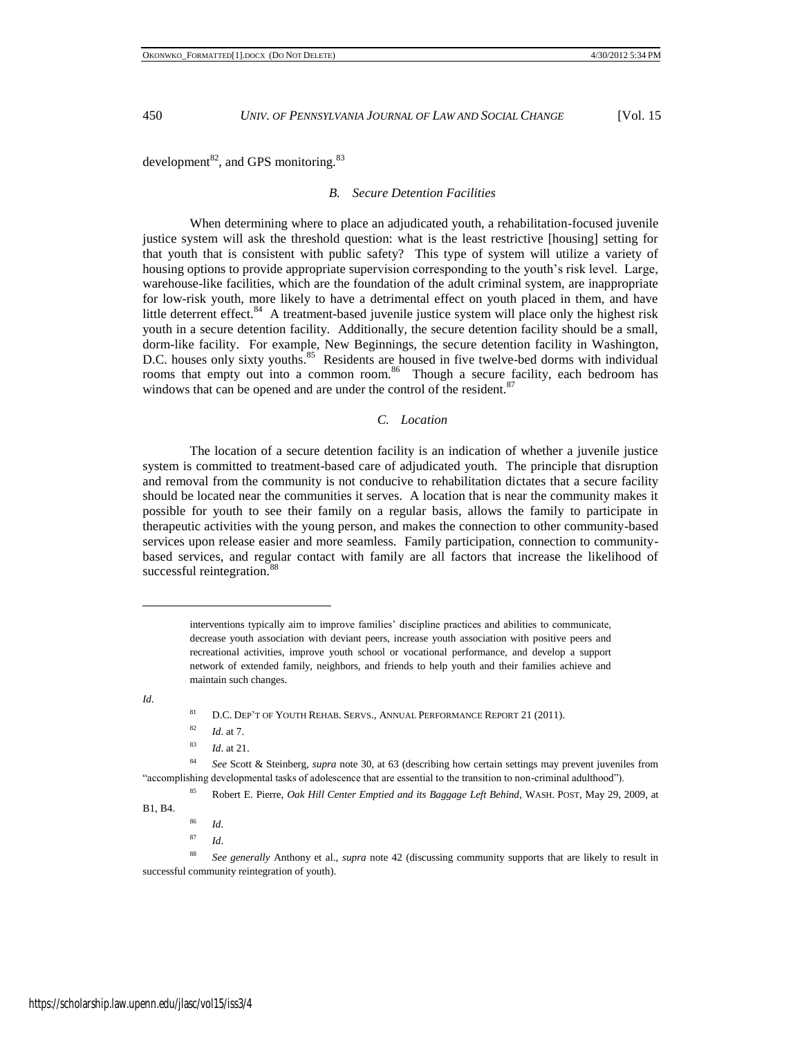development<sup>82</sup>, and GPS monitoring.<sup>83</sup>

### *B. Secure Detention Facilities*

When determining where to place an adjudicated youth, a rehabilitation-focused juvenile justice system will ask the threshold question: what is the least restrictive [housing] setting for that youth that is consistent with public safety? This type of system will utilize a variety of housing options to provide appropriate supervision corresponding to the youth's risk level. Large, warehouse-like facilities, which are the foundation of the adult criminal system, are inappropriate for low-risk youth, more likely to have a detrimental effect on youth placed in them, and have little deterrent effect.<sup>84</sup> A treatment-based juvenile justice system will place only the highest risk youth in a secure detention facility. Additionally, the secure detention facility should be a small, dorm-like facility. For example, New Beginnings, the secure detention facility in Washington, D.C. houses only sixty youths.<sup>85</sup> Residents are housed in five twelve-bed dorms with individual rooms that empty out into a common room.<sup>86</sup> Though a secure facility, each bedroom has windows that can be opened and are under the control of the resident.<sup>87</sup>

# *C. Location*

The location of a secure detention facility is an indication of whether a juvenile justice system is committed to treatment-based care of adjudicated youth. The principle that disruption and removal from the community is not conducive to rehabilitation dictates that a secure facility should be located near the communities it serves. A location that is near the community makes it possible for youth to see their family on a regular basis, allows the family to participate in therapeutic activities with the young person, and makes the connection to other community-based services upon release easier and more seamless. Family participation, connection to communitybased services, and regular contact with family are all factors that increase the likelihood of successful reintegration.<sup>88</sup>

interventions typically aim to improve families' discipline practices and abilities to communicate, decrease youth association with deviant peers, increase youth association with positive peers and recreational activities, improve youth school or vocational performance, and develop a support network of extended family, neighbors, and friends to help youth and their families achieve and maintain such changes.

*Id*.

l

<sup>83</sup> *Id*. at 21.

<sup>84</sup> *See* Scott & Steinberg, *supra* note 30, at 63 (describing how certain settings may prevent juveniles from "accomplishing developmental tasks of adolescence that are essential to the transition to non-criminal adulthood").

<sup>85</sup> Robert E. Pierre, *Oak Hill Center Emptied and its Baggage Left Behind*, WASH. POST, May 29, 2009, at

B1, B4.

- <sup>86</sup> *Id*.
- <sup>87</sup> *Id*.

<sup>88</sup> *See generally* Anthony et al., *supra* note 42 (discussing community supports that are likely to result in successful community reintegration of youth).

<sup>&</sup>lt;sup>81</sup> D.C. DEP'T OF YOUTH REHAB. SERVS., ANNUAL PERFORMANCE REPORT 21 (2011).

<sup>82</sup> *Id*. at 7.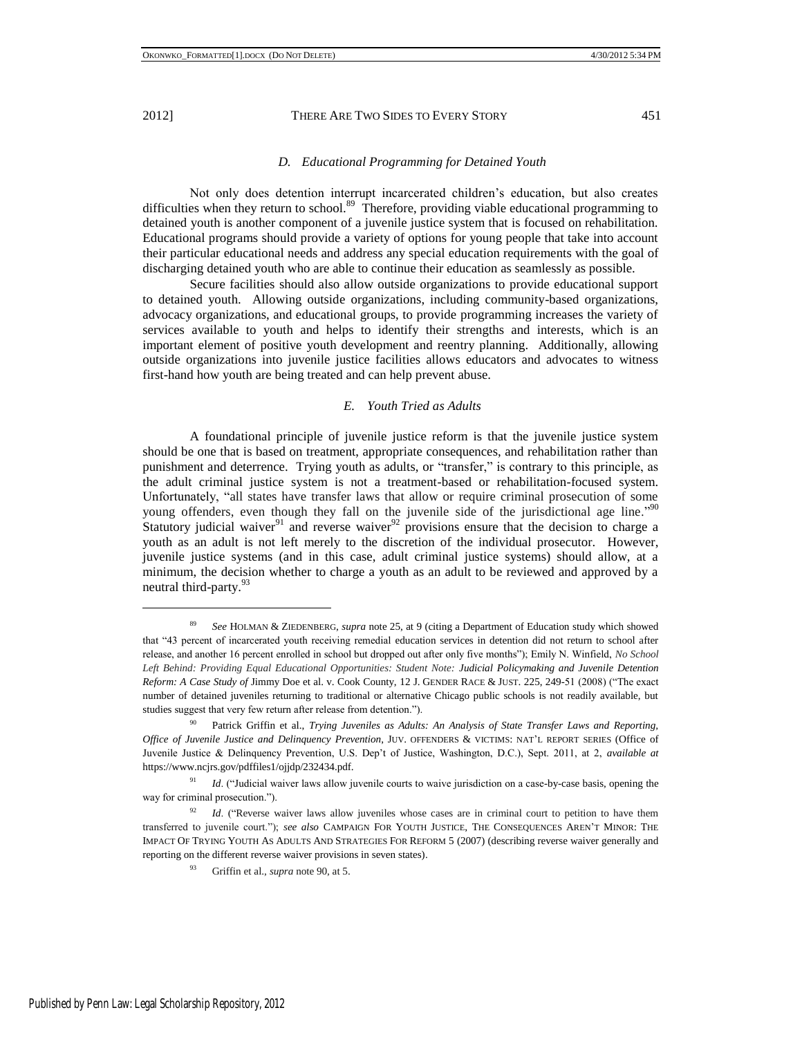#### *D. Educational Programming for Detained Youth*

Not only does detention interrupt incarcerated children's education, but also creates difficulties when they return to school.<sup>89</sup> Therefore, providing viable educational programming to detained youth is another component of a juvenile justice system that is focused on rehabilitation. Educational programs should provide a variety of options for young people that take into account their particular educational needs and address any special education requirements with the goal of discharging detained youth who are able to continue their education as seamlessly as possible.

Secure facilities should also allow outside organizations to provide educational support to detained youth. Allowing outside organizations, including community-based organizations, advocacy organizations, and educational groups, to provide programming increases the variety of services available to youth and helps to identify their strengths and interests, which is an important element of positive youth development and reentry planning. Additionally, allowing outside organizations into juvenile justice facilities allows educators and advocates to witness first-hand how youth are being treated and can help prevent abuse.

### *E. Youth Tried as Adults*

A foundational principle of juvenile justice reform is that the juvenile justice system should be one that is based on treatment, appropriate consequences, and rehabilitation rather than punishment and deterrence. Trying youth as adults, or "transfer," is contrary to this principle, as the adult criminal justice system is not a treatment-based or rehabilitation-focused system. Unfortunately, "all states have transfer laws that allow or require criminal prosecution of some young offenders, even though they fall on the juvenile side of the jurisdictional age line."<sup>90</sup> Statutory judicial waiver<sup>91</sup> and reverse waiver<sup>92</sup> provisions ensure that the decision to charge a youth as an adult is not left merely to the discretion of the individual prosecutor. However, juvenile justice systems (and in this case, adult criminal justice systems) should allow, at a minimum, the decision whether to charge a youth as an adult to be reviewed and approved by a neutral third-party.<sup>93</sup>

<sup>89</sup> *See* HOLMAN & ZIEDENBERG, *supra* note 25, at 9 (citing a Department of Education study which showed that "43 percent of incarcerated youth receiving remedial education services in detention did not return to school after release, and another 16 percent enrolled in school but dropped out after only five months"); Emily N. Winfield, *No School* Left Behind: Providing Equal Educational Opportunities: Student Note: Judicial Policymaking and Juvenile Detention *Reform: A Case Study of Jimmy Doe et al. v. Cook County, 12 J. GENDER RACE & JUST. 225, 249-51 (2008) ("The exact* number of detained juveniles returning to traditional or alternative Chicago public schools is not readily available, but studies suggest that very few return after release from detention.").

<sup>90</sup> Patrick Griffin et al., *Trying Juveniles as Adults: An Analysis of State Transfer Laws and Reporting, Office of Juvenile Justice and Delinquency Prevention*, JUV. OFFENDERS & VICTIMS: NAT'L REPORT SERIES (Office of Juvenile Justice & Delinquency Prevention, U.S. Dep't of Justice, Washington, D.C.), Sept. 2011, at 2, *available at* https://www.ncjrs.gov/pdffiles1/ojjdp/232434.pdf.

<sup>&</sup>lt;sup>91</sup> *Id.* ("Judicial waiver laws allow juvenile courts to waive jurisdiction on a case-by-case basis, opening the way for criminal prosecution.").

<sup>&</sup>lt;sup>92</sup> *Id.* ("Reverse waiver laws allow juveniles whose cases are in criminal court to petition to have them transferred to juvenile court.‖); *see also* CAMPAIGN FOR YOUTH JUSTICE, THE CONSEQUENCES AREN'T MINOR: THE IMPACT OF TRYING YOUTH AS ADULTS AND STRATEGIES FOR REFORM 5 (2007) (describing reverse waiver generally and reporting on the different reverse waiver provisions in seven states).

<sup>93</sup> Griffin et al., *supra* note 90, at 5.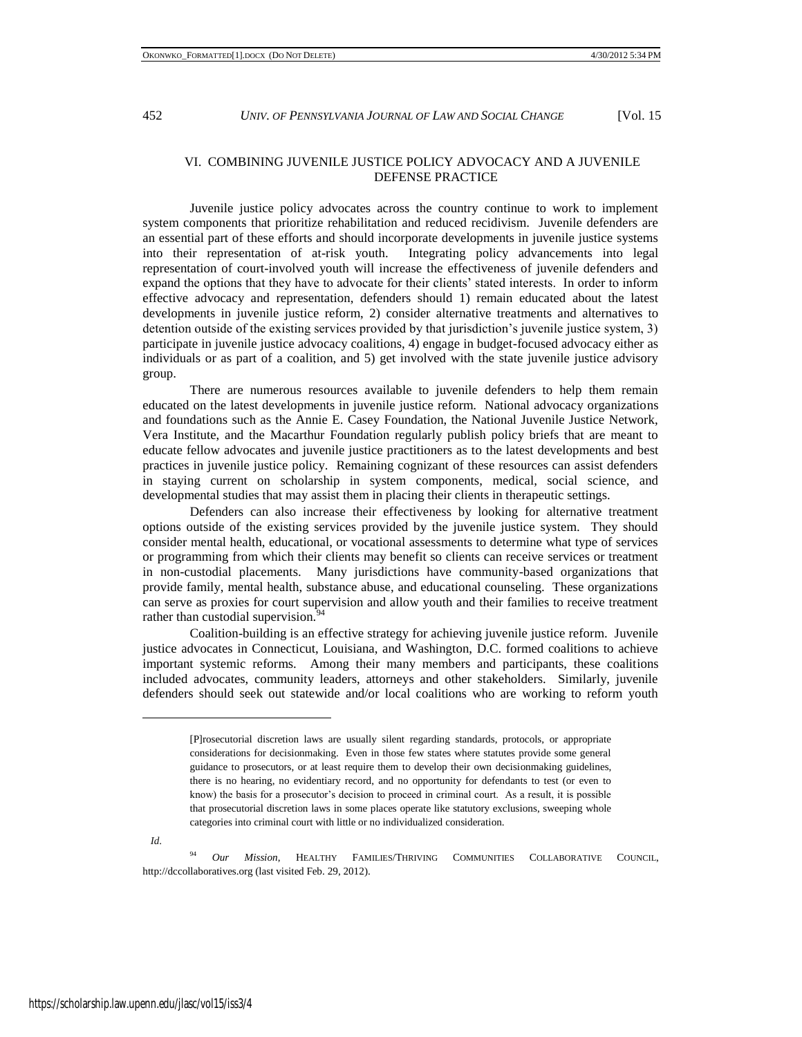# VI. COMBINING JUVENILE JUSTICE POLICY ADVOCACY AND A JUVENILE DEFENSE PRACTICE

Juvenile justice policy advocates across the country continue to work to implement system components that prioritize rehabilitation and reduced recidivism. Juvenile defenders are an essential part of these efforts and should incorporate developments in juvenile justice systems into their representation of at-risk youth. Integrating policy advancements into legal representation of court-involved youth will increase the effectiveness of juvenile defenders and expand the options that they have to advocate for their clients' stated interests. In order to inform effective advocacy and representation, defenders should 1) remain educated about the latest developments in juvenile justice reform, 2) consider alternative treatments and alternatives to detention outside of the existing services provided by that jurisdiction's juvenile justice system, 3) participate in juvenile justice advocacy coalitions, 4) engage in budget-focused advocacy either as individuals or as part of a coalition, and 5) get involved with the state juvenile justice advisory group.

There are numerous resources available to juvenile defenders to help them remain educated on the latest developments in juvenile justice reform. National advocacy organizations and foundations such as the Annie E. Casey Foundation, the National Juvenile Justice Network, Vera Institute, and the Macarthur Foundation regularly publish policy briefs that are meant to educate fellow advocates and juvenile justice practitioners as to the latest developments and best practices in juvenile justice policy. Remaining cognizant of these resources can assist defenders in staying current on scholarship in system components, medical, social science, and developmental studies that may assist them in placing their clients in therapeutic settings.

Defenders can also increase their effectiveness by looking for alternative treatment options outside of the existing services provided by the juvenile justice system. They should consider mental health, educational, or vocational assessments to determine what type of services or programming from which their clients may benefit so clients can receive services or treatment in non-custodial placements. Many jurisdictions have community-based organizations that provide family, mental health, substance abuse, and educational counseling. These organizations can serve as proxies for court supervision and allow youth and their families to receive treatment rather than custodial supervision.<sup>9</sup>

Coalition-building is an effective strategy for achieving juvenile justice reform. Juvenile justice advocates in Connecticut, Louisiana, and Washington, D.C. formed coalitions to achieve important systemic reforms. Among their many members and participants, these coalitions included advocates, community leaders, attorneys and other stakeholders. Similarly, juvenile defenders should seek out statewide and/or local coalitions who are working to reform youth

 *Id*.

l

<sup>94</sup> *Our Mission*, HEALTHY FAMILIES/THRIVING COMMUNITIES COLLABORATIVE COUNCIL, http://dccollaboratives.org (last visited Feb. 29, 2012).

<sup>[</sup>P]rosecutorial discretion laws are usually silent regarding standards, protocols, or appropriate considerations for decisionmaking. Even in those few states where statutes provide some general guidance to prosecutors, or at least require them to develop their own decisionmaking guidelines, there is no hearing, no evidentiary record, and no opportunity for defendants to test (or even to know) the basis for a prosecutor's decision to proceed in criminal court. As a result, it is possible that prosecutorial discretion laws in some places operate like statutory exclusions, sweeping whole categories into criminal court with little or no individualized consideration.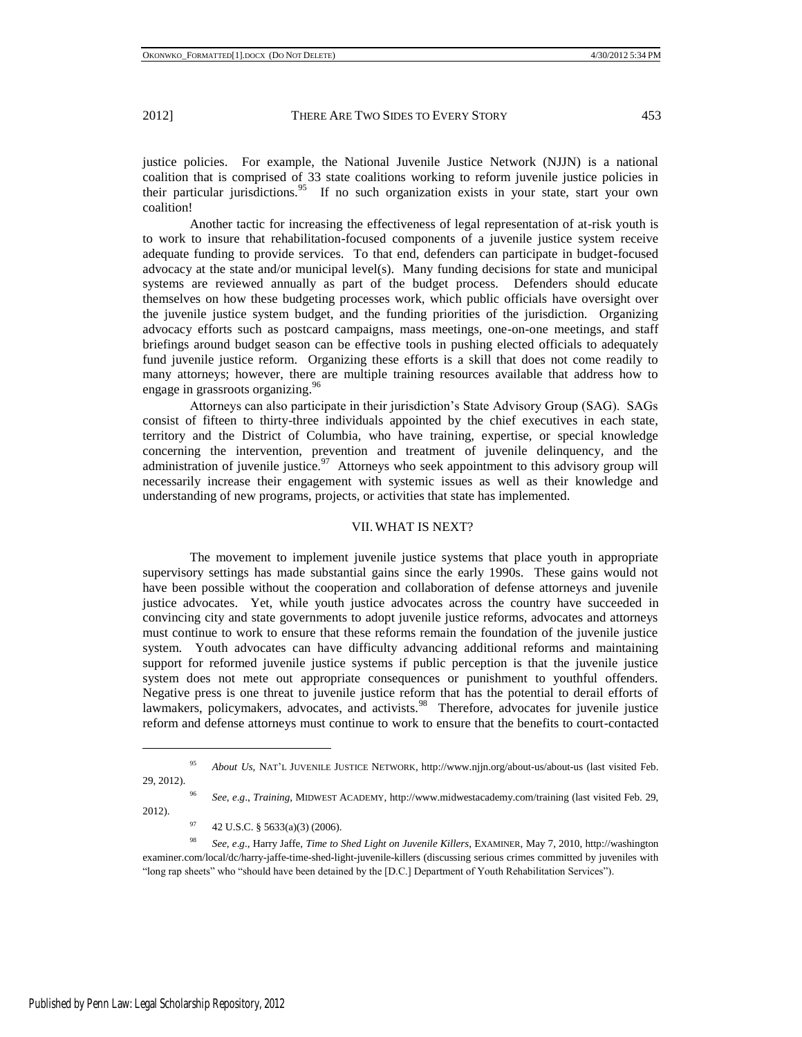justice policies. For example, the National Juvenile Justice Network (NJJN) is a national coalition that is comprised of 33 state coalitions working to reform juvenile justice policies in their particular jurisdictions.<sup>95</sup> If no such organization exists in your state, start your own coalition!

Another tactic for increasing the effectiveness of legal representation of at-risk youth is to work to insure that rehabilitation-focused components of a juvenile justice system receive adequate funding to provide services. To that end, defenders can participate in budget-focused advocacy at the state and/or municipal level(s). Many funding decisions for state and municipal systems are reviewed annually as part of the budget process. Defenders should educate themselves on how these budgeting processes work, which public officials have oversight over the juvenile justice system budget, and the funding priorities of the jurisdiction. Organizing advocacy efforts such as postcard campaigns, mass meetings, one-on-one meetings, and staff briefings around budget season can be effective tools in pushing elected officials to adequately fund juvenile justice reform. Organizing these efforts is a skill that does not come readily to many attorneys; however, there are multiple training resources available that address how to engage in grassroots organizing.<sup>96</sup>

Attorneys can also participate in their jurisdiction's State Advisory Group (SAG). SAGs consist of fifteen to thirty-three individuals appointed by the chief executives in each state, territory and the District of Columbia, who have training, expertise, or special knowledge concerning the intervention, prevention and treatment of juvenile delinquency, and the administration of juvenile justice.<sup>97</sup> Attorneys who seek appointment to this advisory group will necessarily increase their engagement with systemic issues as well as their knowledge and understanding of new programs, projects, or activities that state has implemented.

### VII. WHAT IS NEXT?

The movement to implement juvenile justice systems that place youth in appropriate supervisory settings has made substantial gains since the early 1990s. These gains would not have been possible without the cooperation and collaboration of defense attorneys and juvenile justice advocates. Yet, while youth justice advocates across the country have succeeded in convincing city and state governments to adopt juvenile justice reforms, advocates and attorneys must continue to work to ensure that these reforms remain the foundation of the juvenile justice system. Youth advocates can have difficulty advancing additional reforms and maintaining support for reformed juvenile justice systems if public perception is that the juvenile justice system does not mete out appropriate consequences or punishment to youthful offenders. Negative press is one threat to juvenile justice reform that has the potential to derail efforts of lawmakers, policymakers, advocates, and activists.<sup>98</sup> Therefore, advocates for juvenile justice reform and defense attorneys must continue to work to ensure that the benefits to court-contacted

<sup>96</sup> *See, e*.*g*., *Training*, MIDWEST ACADEMY, http://www.midwestacademy.com/training (last visited Feb. 29, 2012).

<sup>97</sup> 42 U.S.C. § 5633(a)(3) (2006).

<sup>98</sup> *See, e*.*g*., Harry Jaffe, *Time to Shed Light on Juvenile Killers*, EXAMINER, May 7, 2010, http://washington examiner.com/local/dc/harry-jaffe-time-shed-light-juvenile-killers (discussing serious crimes committed by juveniles with "long rap sheets" who "should have been detained by the [D.C.] Department of Youth Rehabilitation Services").

<sup>95</sup> *About Us*, NAT'L JUVENILE JUSTICE NETWORK, http://www.njjn.org/about-us/about-us (last visited Feb. 29, 2012).